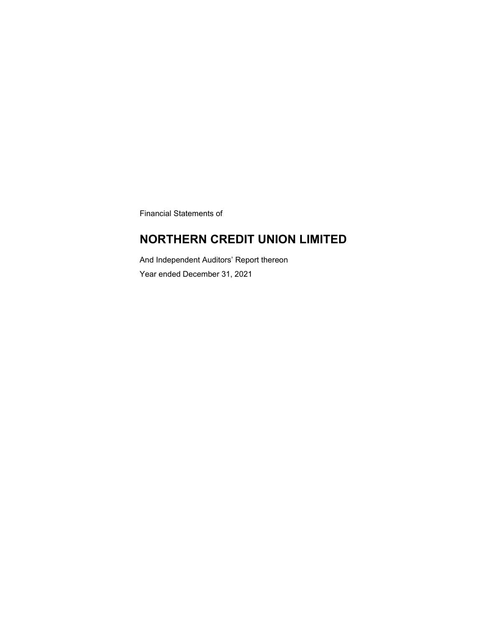Financial Statements of

### **NORTHERN CREDIT UNION LIMITED**

And Independent Auditors' Report thereon Year ended December 31, 2021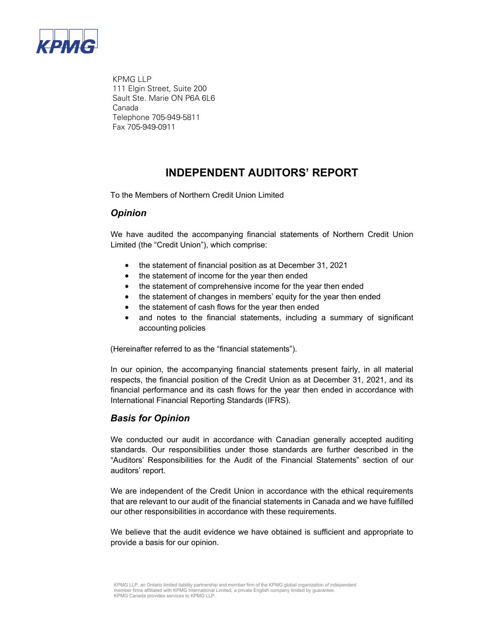

 KPMG LLP 111 Elgin Street, Suite 200 Sault Ste. Marie ON P6A 6L6 Canada Telephone 705-949-5811 Fax 705-949-0911

### **INDEPENDENT AUDITORS' REPORT**

To the Members of Northern Credit Union Limited

### *Opinion*

We have audited the accompanying financial statements of Northern Credit Union Limited (the "Credit Union"), which comprise:

- the statement of financial position as at December 31, 2021
- the statement of income for the year then ended
- the statement of comprehensive income for the year then ended
- the statement of changes in members' equity for the year then ended
- the statement of cash flows for the year then ended
- and notes to the financial statements, including a summary of significant accounting policies

(Hereinafter referred to as the "financial statements").

In our opinion, the accompanying financial statements present fairly, in all material respects, the financial position of the Credit Union as at December 31, 2021, and its financial performance and its cash flows for the year then ended in accordance with International Financial Reporting Standards (IFRS).

### *Basis for Opinion*

We conducted our audit in accordance with Canadian generally accepted auditing standards. Our responsibilities under those standards are further described in the "Auditors' Responsibilities for the Audit of the Financial Statements" section of our auditors' report.

We are independent of the Credit Union in accordance with the ethical requirements that are relevant to our audit of the financial statements in Canada and we have fulfilled our other responsibilities in accordance with these requirements.

We believe that the audit evidence we have obtained is sufficient and appropriate to provide a basis for our opinion.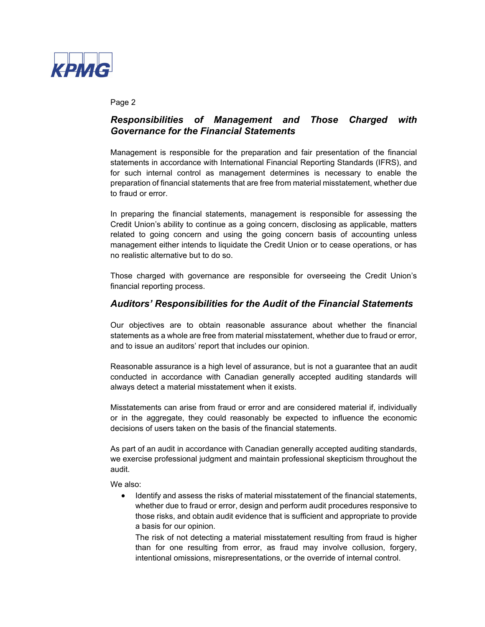

Page 2

### *Responsibilities of Management and Those Charged with Governance for the Financial Statements*

Management is responsible for the preparation and fair presentation of the financial statements in accordance with International Financial Reporting Standards (IFRS), and for such internal control as management determines is necessary to enable the preparation of financial statements that are free from material misstatement, whether due to fraud or error.

In preparing the financial statements, management is responsible for assessing the Credit Union's ability to continue as a going concern, disclosing as applicable, matters related to going concern and using the going concern basis of accounting unless management either intends to liquidate the Credit Union or to cease operations, or has no realistic alternative but to do so.

Those charged with governance are responsible for overseeing the Credit Union's financial reporting process.

### *Auditors' Responsibilities for the Audit of the Financial Statements*

Our objectives are to obtain reasonable assurance about whether the financial statements as a whole are free from material misstatement, whether due to fraud or error, and to issue an auditors' report that includes our opinion.

Reasonable assurance is a high level of assurance, but is not a guarantee that an audit conducted in accordance with Canadian generally accepted auditing standards will always detect a material misstatement when it exists.

Misstatements can arise from fraud or error and are considered material if, individually or in the aggregate, they could reasonably be expected to influence the economic decisions of users taken on the basis of the financial statements.

As part of an audit in accordance with Canadian generally accepted auditing standards, we exercise professional judgment and maintain professional skepticism throughout the audit.

We also:

 Identify and assess the risks of material misstatement of the financial statements, whether due to fraud or error, design and perform audit procedures responsive to those risks, and obtain audit evidence that is sufficient and appropriate to provide a basis for our opinion.

The risk of not detecting a material misstatement resulting from fraud is higher than for one resulting from error, as fraud may involve collusion, forgery, intentional omissions, misrepresentations, or the override of internal control.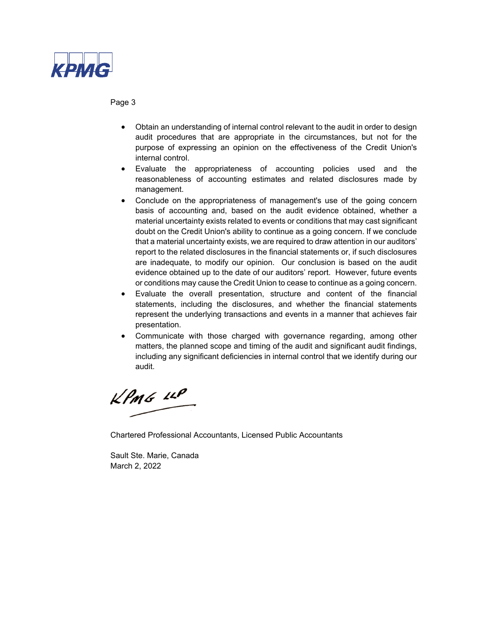

Page 3

- Obtain an understanding of internal control relevant to the audit in order to design audit procedures that are appropriate in the circumstances, but not for the purpose of expressing an opinion on the effectiveness of the Credit Union's internal control.
- Evaluate the appropriateness of accounting policies used and the reasonableness of accounting estimates and related disclosures made by management.
- Conclude on the appropriateness of management's use of the going concern basis of accounting and, based on the audit evidence obtained, whether a material uncertainty exists related to events or conditions that may cast significant doubt on the Credit Union's ability to continue as a going concern. If we conclude that a material uncertainty exists, we are required to draw attention in our auditors' report to the related disclosures in the financial statements or, if such disclosures are inadequate, to modify our opinion. Our conclusion is based on the audit evidence obtained up to the date of our auditors' report. However, future events or conditions may cause the Credit Union to cease to continue as a going concern.
- Evaluate the overall presentation, structure and content of the financial statements, including the disclosures, and whether the financial statements represent the underlying transactions and events in a manner that achieves fair presentation.
- Communicate with those charged with governance regarding, among other matters, the planned scope and timing of the audit and significant audit findings, including any significant deficiencies in internal control that we identify during our audit.

KPMG LLP

Chartered Professional Accountants, Licensed Public Accountants

Sault Ste. Marie, Canada March 2, 2022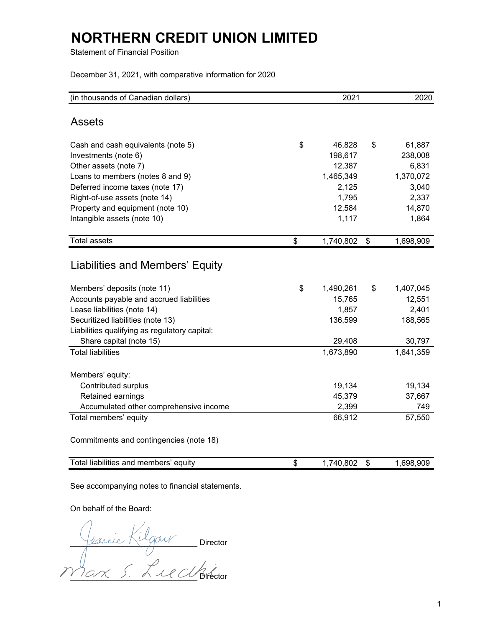Statement of Financial Position

December 31, 2021, with comparative information for 2020

| (in thousands of Canadian dollars)                                                                                                                                                                                                                                                     | 2021                                                                 | 2020                                                                 |
|----------------------------------------------------------------------------------------------------------------------------------------------------------------------------------------------------------------------------------------------------------------------------------------|----------------------------------------------------------------------|----------------------------------------------------------------------|
| Assets                                                                                                                                                                                                                                                                                 |                                                                      |                                                                      |
| Cash and cash equivalents (note 5)                                                                                                                                                                                                                                                     | \$<br>46,828                                                         | \$<br>61,887                                                         |
| Investments (note 6)                                                                                                                                                                                                                                                                   | 198,617                                                              | 238,008                                                              |
| Other assets (note 7)                                                                                                                                                                                                                                                                  | 12,387                                                               | 6,831                                                                |
| Loans to members (notes 8 and 9)                                                                                                                                                                                                                                                       | 1,465,349                                                            | 1,370,072                                                            |
| Deferred income taxes (note 17)                                                                                                                                                                                                                                                        | 2,125                                                                | 3,040                                                                |
| Right-of-use assets (note 14)                                                                                                                                                                                                                                                          | 1,795                                                                | 2,337                                                                |
| Property and equipment (note 10)                                                                                                                                                                                                                                                       | 12,584                                                               | 14,870                                                               |
| Intangible assets (note 10)                                                                                                                                                                                                                                                            | 1,117                                                                | 1,864                                                                |
|                                                                                                                                                                                                                                                                                        |                                                                      |                                                                      |
| <b>Total assets</b>                                                                                                                                                                                                                                                                    | \$<br>1,740,802                                                      | \$<br>1,698,909                                                      |
| Liabilities and Members' Equity<br>Members' deposits (note 11)<br>Accounts payable and accrued liabilities<br>Lease liabilities (note 14)<br>Securitized liabilities (note 13)<br>Liabilities qualifying as regulatory capital:<br>Share capital (note 15)<br><b>Total liabilities</b> | \$<br>1,490,261<br>15,765<br>1,857<br>136,599<br>29,408<br>1,673,890 | \$<br>1,407,045<br>12,551<br>2,401<br>188,565<br>30,797<br>1,641,359 |
| Members' equity:                                                                                                                                                                                                                                                                       |                                                                      |                                                                      |
| Contributed surplus                                                                                                                                                                                                                                                                    | 19,134                                                               | 19,134                                                               |
| Retained earnings                                                                                                                                                                                                                                                                      | 45,379                                                               | 37,667                                                               |
| Accumulated other comprehensive income                                                                                                                                                                                                                                                 | 2,399                                                                | 749                                                                  |
| Total members' equity                                                                                                                                                                                                                                                                  | 66,912                                                               | 57,550                                                               |
| Commitments and contingencies (note 18)                                                                                                                                                                                                                                                |                                                                      |                                                                      |
| Total liabilities and members' equity                                                                                                                                                                                                                                                  | \$<br>1,740,802                                                      | \$<br>1,698,909                                                      |

See accompanying notes to financial statements.

On behalf of the Board:

\_\_\_\_\_\_\_\_\_\_\_\_\_\_\_\_\_\_\_\_\_\_\_\_\_\_\_\_\_ Director \_\_\_\_\_\_\_\_\_\_\_\_\_\_\_\_\_\_\_\_\_\_\_\_\_\_\_\_\_ Director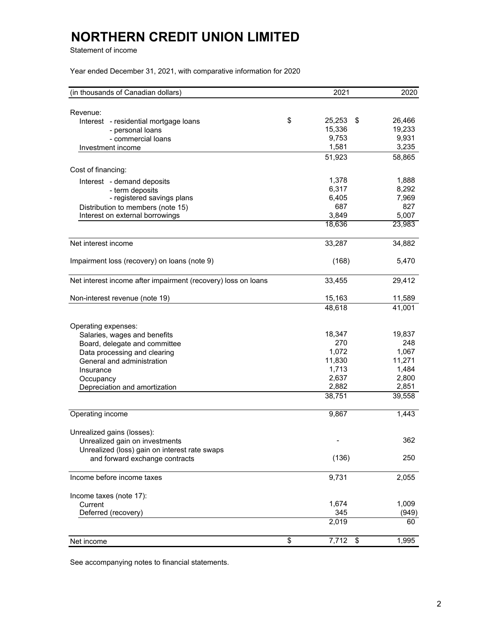Statement of income

#### Year ended December 31, 2021, with comparative information for 2020

| (in thousands of Canadian dollars)                                   | 2021               | 2020   |
|----------------------------------------------------------------------|--------------------|--------|
|                                                                      |                    |        |
| Revenue:                                                             | \$<br>25,253<br>\$ | 26,466 |
| Interest - residential mortgage loans                                | 15,336             | 19,233 |
| - personal loans<br>- commercial loans                               | 9,753              | 9,931  |
|                                                                      | 1,581              | 3,235  |
| Investment income                                                    | 51,923             | 58,865 |
| Cost of financing:                                                   |                    |        |
|                                                                      | 1,378              | 1,888  |
| Interest - demand deposits                                           | 6,317              | 8,292  |
| - term deposits<br>- registered savings plans                        | 6,405              | 7,969  |
|                                                                      | 687                | 827    |
| Distribution to members (note 15)<br>Interest on external borrowings | 3,849              | 5,007  |
|                                                                      | 18,636             | 23,983 |
|                                                                      |                    |        |
| Net interest income                                                  | 33,287             | 34,882 |
| Impairment loss (recovery) on loans (note 9)                         | (168)              | 5,470  |
| Net interest income after impairment (recovery) loss on loans        | 33,455             | 29,412 |
| Non-interest revenue (note 19)                                       | 15,163             | 11,589 |
|                                                                      | 48,618             | 41,001 |
| Operating expenses:                                                  |                    |        |
| Salaries, wages and benefits                                         | 18,347             | 19,837 |
| Board, delegate and committee                                        | 270                | 248    |
| Data processing and clearing                                         | 1,072              | 1,067  |
| General and administration                                           | 11,830             | 11,271 |
| Insurance                                                            | 1,713              | 1,484  |
| Occupancy                                                            | 2,637              | 2,800  |
| Depreciation and amortization                                        | 2,882              | 2,851  |
|                                                                      | 38,751             | 39,558 |
| Operating income                                                     | 9,867              | 1,443  |
|                                                                      |                    |        |
| Unrealized gains (losses):                                           |                    |        |
| Unrealized gain on investments                                       |                    | 362    |
| Unrealized (loss) gain on interest rate swaps                        |                    |        |
| and forward exchange contracts                                       | (136)              | 250    |
| Income before income taxes                                           | 9,731              | 2,055  |
|                                                                      |                    |        |
| Income taxes (note 17):                                              |                    |        |
| Current                                                              | 1,674              | 1,009  |
| Deferred (recovery)                                                  | 345                | (949)  |
|                                                                      | 2,019              | 60     |
| Net income                                                           | \$<br>7,712<br>\$  | 1,995  |

See accompanying notes to financial statements.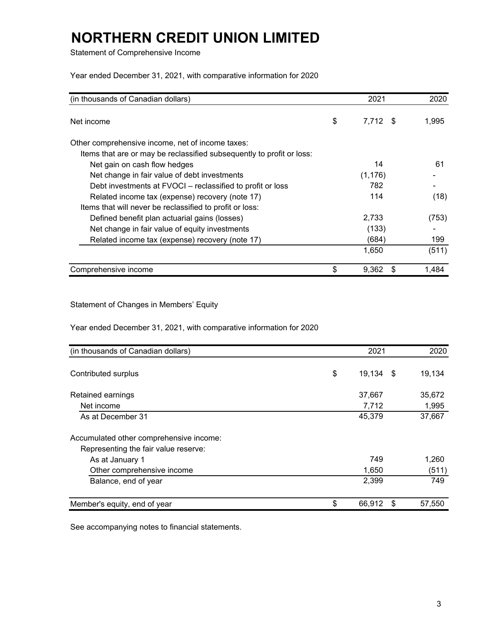Statement of Comprehensive Income

Year ended December 31, 2021, with comparative information for 2020

| (in thousands of Canadian dollars)                                    |    | 2021       | 2020  |
|-----------------------------------------------------------------------|----|------------|-------|
| Net income                                                            | \$ | $7.712$ \$ | 1,995 |
| Other comprehensive income, net of income taxes:                      |    |            |       |
| Items that are or may be reclassified subsequently to profit or loss: |    |            |       |
| Net gain on cash flow hedges                                          |    | 14         | 61    |
| Net change in fair value of debt investments                          |    | (1, 176)   |       |
| Debt investments at FVOCI - reclassified to profit or loss            |    | 782        |       |
| Related income tax (expense) recovery (note 17)                       |    | 114        | (18)  |
| Items that will never be reclassified to profit or loss:              |    |            |       |
| Defined benefit plan actuarial gains (losses)                         |    | 2,733      | (753) |
| Net change in fair value of equity investments                        |    | (133)      |       |
| Related income tax (expense) recovery (note 17)                       |    | (684)      | 199   |
|                                                                       |    | 1,650      | (511) |
| Comprehensive income                                                  | \$ | 9,362<br>S | 1,484 |

Statement of Changes in Members' Equity

Year ended December 31, 2021, with comparative information for 2020

| (in thousands of Canadian dollars)      | 2021         |      | 2020   |
|-----------------------------------------|--------------|------|--------|
| Contributed surplus                     | \$<br>19,134 | - \$ | 19,134 |
| Retained earnings                       | 37,667       |      | 35,672 |
| Net income                              | 7,712        |      | 1,995  |
| As at December 31                       | 45,379       |      | 37,667 |
| Accumulated other comprehensive income: |              |      |        |
| Representing the fair value reserve:    |              |      |        |
| As at January 1                         | 749          |      | 1,260  |
| Other comprehensive income              | 1,650        |      | (511)  |
| Balance, end of year                    | 2,399        |      | 749    |
| Member's equity, end of year            | \$<br>66,912 | \$   | 57,550 |

See accompanying notes to financial statements.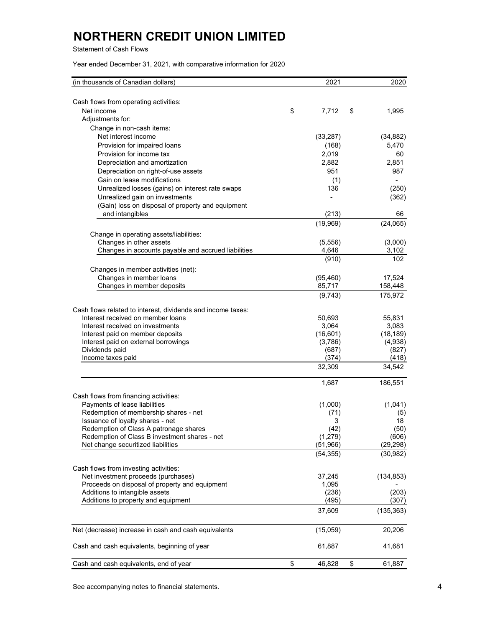Statement of Cash Flows

Year ended December 31, 2021, with comparative information for 2020

| (in thousands of Canadian dollars)                                     | 2021           | 2020           |
|------------------------------------------------------------------------|----------------|----------------|
|                                                                        |                |                |
| Cash flows from operating activities:                                  |                |                |
| Net income                                                             | \$<br>7,712    | \$<br>1,995    |
| Adjustments for:                                                       |                |                |
| Change in non-cash items:                                              |                |                |
| Net interest income                                                    | (33, 287)      | (34, 882)      |
| Provision for impaired loans                                           | (168)          | 5,470          |
| Provision for income tax                                               | 2,019          | 60             |
| Depreciation and amortization                                          | 2,882          | 2,851          |
| Depreciation on right-of-use assets                                    | 951            | 987            |
| Gain on lease modifications                                            | (1)            |                |
| Unrealized losses (gains) on interest rate swaps                       | 136            | (250)          |
| Unrealized gain on investments                                         |                | (362)          |
| (Gain) loss on disposal of property and equipment                      |                |                |
| and intangibles                                                        | (213)          | 66             |
|                                                                        | (19,969)       | (24,065)       |
| Change in operating assets/liabilities:                                |                |                |
| Changes in other assets                                                | (5, 556)       | (3,000)        |
| Changes in accounts payable and accrued liabilities                    | 4,646          | 3,102          |
|                                                                        | (910)          | 102            |
| Changes in member activities (net):                                    |                |                |
| Changes in member loans                                                | (95, 460)      | 17,524         |
| Changes in member deposits                                             | 85.717         | 158,448        |
|                                                                        | (9,743)        | 175,972        |
| Cash flows related to interest, dividends and income taxes:            |                |                |
| Interest received on member loans                                      | 50,693         | 55,831         |
| Interest received on investments                                       | 3,064          | 3,083          |
| Interest paid on member deposits                                       | (16, 601)      | (18, 189)      |
| Interest paid on external borrowings                                   | (3,786)        | (4,938)        |
| Dividends paid                                                         | (687)          | (827)          |
| Income taxes paid                                                      | (374)          | (418)          |
|                                                                        | 32,309         | 34,542         |
|                                                                        | 1,687          | 186,551        |
|                                                                        |                |                |
| Cash flows from financing activities:<br>Payments of lease liabilities | (1,000)        | (1,041)        |
| Redemption of membership shares - net                                  | (71)           | (5)            |
| Issuance of loyalty shares - net                                       | 3              | 18             |
| Redemption of Class A patronage shares                                 | (42)           | (50)           |
| Redemption of Class B investment shares - net                          | (1, 279)       | (606)          |
| Net change securitized liabilities                                     | (51, 966)      | (29, 298)      |
|                                                                        | (54, 355)      | (30, 982)      |
|                                                                        |                |                |
| Cash flows from investing activities:                                  |                |                |
| Net investment proceeds (purchases)                                    | 37,245         | (134, 853)     |
| Proceeds on disposal of property and equipment                         | 1,095          |                |
| Additions to intangible assets<br>Additions to property and equipment  | (236)<br>(495) | (203)<br>(307) |
|                                                                        | 37,609         | (135, 363)     |
|                                                                        |                |                |
| Net (decrease) increase in cash and cash equivalents                   | (15,059)       | 20,206         |
| Cash and cash equivalents, beginning of year                           | 61,887         | 41,681         |
| Cash and cash equivalents, end of year                                 | \$<br>46,828   | \$<br>61,887   |

See accompanying notes to financial statements. 4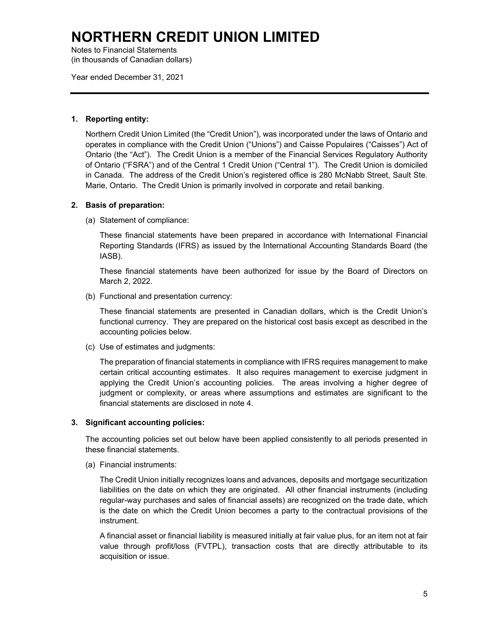Notes to Financial Statements (in thousands of Canadian dollars)

Year ended December 31, 2021

### **1. Reporting entity:**

Northern Credit Union Limited (the "Credit Union"), was incorporated under the laws of Ontario and operates in compliance with the Credit Union ("Unions") and Caisse Populaires ("Caisses") Act of Ontario (the "Act"). The Credit Union is a member of the Financial Services Regulatory Authority of Ontario ("FSRA") and of the Central 1 Credit Union ("Central 1"). The Credit Union is domiciled in Canada. The address of the Credit Union's registered office is 280 McNabb Street, Sault Ste. Marie, Ontario. The Credit Union is primarily involved in corporate and retail banking.

### **2. Basis of preparation:**

(a) Statement of compliance:

These financial statements have been prepared in accordance with International Financial Reporting Standards (IFRS) as issued by the International Accounting Standards Board (the IASB).

These financial statements have been authorized for issue by the Board of Directors on March 2, 2022.

(b) Functional and presentation currency:

These financial statements are presented in Canadian dollars, which is the Credit Union's functional currency. They are prepared on the historical cost basis except as described in the accounting policies below.

(c) Use of estimates and judgments:

The preparation of financial statements in compliance with IFRS requires management to make certain critical accounting estimates. It also requires management to exercise judgment in applying the Credit Union's accounting policies. The areas involving a higher degree of judgment or complexity, or areas where assumptions and estimates are significant to the financial statements are disclosed in note 4.

### **3. Significant accounting policies:**

The accounting policies set out below have been applied consistently to all periods presented in these financial statements.

(a) Financial instruments:

The Credit Union initially recognizes loans and advances, deposits and mortgage securitization liabilities on the date on which they are originated. All other financial instruments (including regular-way purchases and sales of financial assets) are recognized on the trade date, which is the date on which the Credit Union becomes a party to the contractual provisions of the instrument.

A financial asset or financial liability is measured initially at fair value plus, for an item not at fair value through profit/loss (FVTPL), transaction costs that are directly attributable to its acquisition or issue.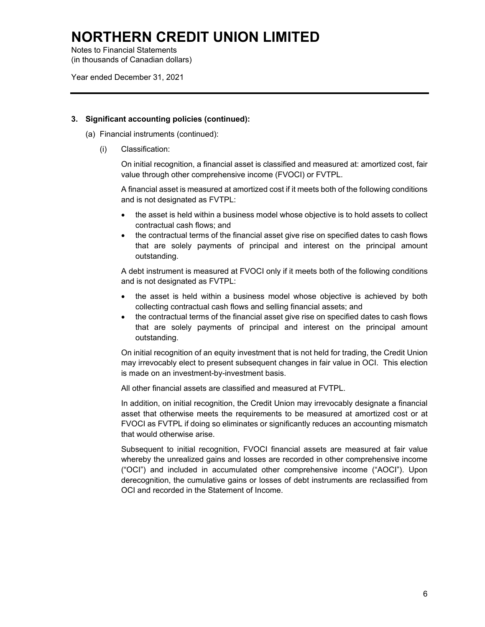Notes to Financial Statements (in thousands of Canadian dollars)

Year ended December 31, 2021

### **3. Significant accounting policies (continued):**

- (a) Financial instruments (continued):
	- (i) Classification:

On initial recognition, a financial asset is classified and measured at: amortized cost, fair value through other comprehensive income (FVOCI) or FVTPL.

A financial asset is measured at amortized cost if it meets both of the following conditions and is not designated as FVTPL:

- the asset is held within a business model whose objective is to hold assets to collect contractual cash flows; and
- the contractual terms of the financial asset give rise on specified dates to cash flows that are solely payments of principal and interest on the principal amount outstanding.

A debt instrument is measured at FVOCI only if it meets both of the following conditions and is not designated as FVTPL:

- the asset is held within a business model whose objective is achieved by both collecting contractual cash flows and selling financial assets; and
- the contractual terms of the financial asset give rise on specified dates to cash flows that are solely payments of principal and interest on the principal amount outstanding.

On initial recognition of an equity investment that is not held for trading, the Credit Union may irrevocably elect to present subsequent changes in fair value in OCI. This election is made on an investment-by-investment basis.

All other financial assets are classified and measured at FVTPL.

In addition, on initial recognition, the Credit Union may irrevocably designate a financial asset that otherwise meets the requirements to be measured at amortized cost or at FVOCI as FVTPL if doing so eliminates or significantly reduces an accounting mismatch that would otherwise arise.

Subsequent to initial recognition, FVOCI financial assets are measured at fair value whereby the unrealized gains and losses are recorded in other comprehensive income ("OCI") and included in accumulated other comprehensive income ("AOCI"). Upon derecognition, the cumulative gains or losses of debt instruments are reclassified from OCI and recorded in the Statement of Income.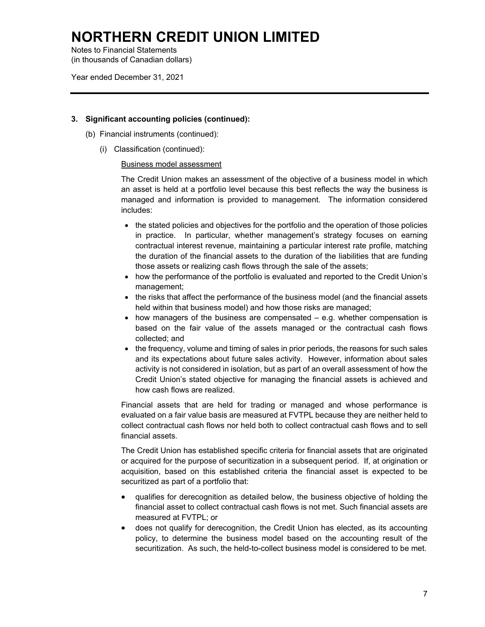Notes to Financial Statements (in thousands of Canadian dollars)

Year ended December 31, 2021

### **3. Significant accounting policies (continued):**

- (b) Financial instruments (continued):
	- (i) Classification (continued):

### Business model assessment

The Credit Union makes an assessment of the objective of a business model in which an asset is held at a portfolio level because this best reflects the way the business is managed and information is provided to management. The information considered includes:

- the stated policies and objectives for the portfolio and the operation of those policies in practice. In particular, whether management's strategy focuses on earning contractual interest revenue, maintaining a particular interest rate profile, matching the duration of the financial assets to the duration of the liabilities that are funding those assets or realizing cash flows through the sale of the assets;
- how the performance of the portfolio is evaluated and reported to the Credit Union's management;
- the risks that affect the performance of the business model (and the financial assets held within that business model) and how those risks are managed;
- $\bullet$  how managers of the business are compensated e.g. whether compensation is based on the fair value of the assets managed or the contractual cash flows collected; and
- the frequency, volume and timing of sales in prior periods, the reasons for such sales and its expectations about future sales activity. However, information about sales activity is not considered in isolation, but as part of an overall assessment of how the Credit Union's stated objective for managing the financial assets is achieved and how cash flows are realized.

Financial assets that are held for trading or managed and whose performance is evaluated on a fair value basis are measured at FVTPL because they are neither held to collect contractual cash flows nor held both to collect contractual cash flows and to sell financial assets.

The Credit Union has established specific criteria for financial assets that are originated or acquired for the purpose of securitization in a subsequent period. If, at origination or acquisition, based on this established criteria the financial asset is expected to be securitized as part of a portfolio that:

- qualifies for derecognition as detailed below, the business objective of holding the financial asset to collect contractual cash flows is not met. Such financial assets are measured at FVTPL; or
- does not qualify for derecognition, the Credit Union has elected, as its accounting policy, to determine the business model based on the accounting result of the securitization. As such, the held-to-collect business model is considered to be met.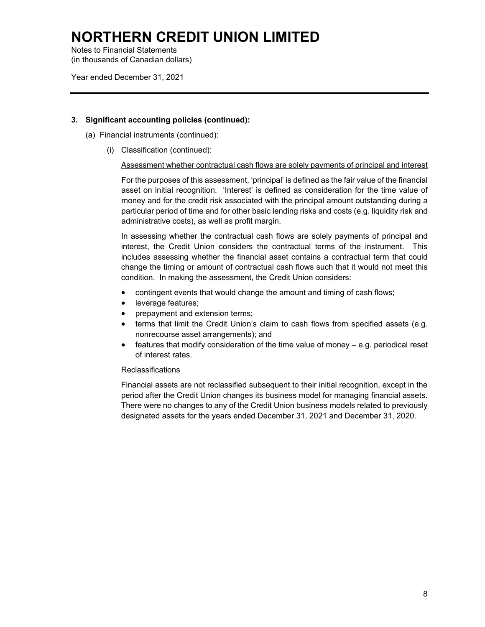Notes to Financial Statements (in thousands of Canadian dollars)

Year ended December 31, 2021

### **3. Significant accounting policies (continued):**

- (a) Financial instruments (continued):
	- (i) Classification (continued):

### Assessment whether contractual cash flows are solely payments of principal and interest

For the purposes of this assessment, 'principal' is defined as the fair value of the financial asset on initial recognition. 'Interest' is defined as consideration for the time value of money and for the credit risk associated with the principal amount outstanding during a particular period of time and for other basic lending risks and costs (e.g. liquidity risk and administrative costs), as well as profit margin.

In assessing whether the contractual cash flows are solely payments of principal and interest, the Credit Union considers the contractual terms of the instrument. This includes assessing whether the financial asset contains a contractual term that could change the timing or amount of contractual cash flows such that it would not meet this condition. In making the assessment, the Credit Union considers:

- contingent events that would change the amount and timing of cash flows;
- leverage features;
- prepayment and extension terms;
- terms that limit the Credit Union's claim to cash flows from specified assets (e.g. nonrecourse asset arrangements); and
- $\bullet$  features that modify consideration of the time value of money  $-$  e.g. periodical reset of interest rates.

### **Reclassifications**

Financial assets are not reclassified subsequent to their initial recognition, except in the period after the Credit Union changes its business model for managing financial assets. There were no changes to any of the Credit Union business models related to previously designated assets for the years ended December 31, 2021 and December 31, 2020.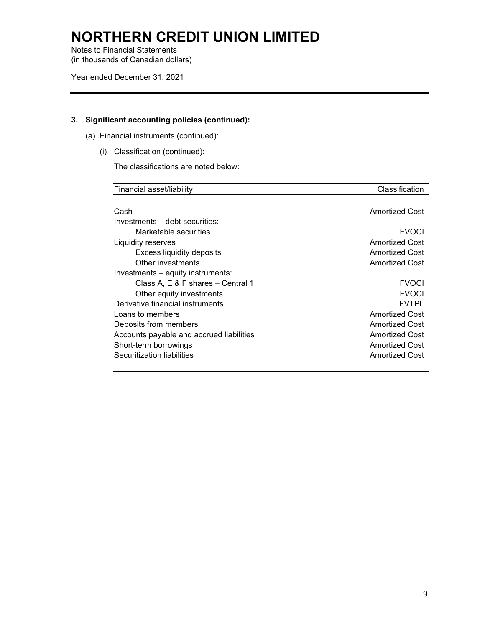Notes to Financial Statements (in thousands of Canadian dollars)

Year ended December 31, 2021

### **3. Significant accounting policies (continued):**

- (a) Financial instruments (continued):
	- (i) Classification (continued):

The classifications are noted below:

| Financial asset/liability                | Classification        |
|------------------------------------------|-----------------------|
|                                          |                       |
| Cash                                     | Amortized Cost        |
| Investments – debt securities:           |                       |
| Marketable securities                    | <b>FVOCI</b>          |
| Liquidity reserves                       | <b>Amortized Cost</b> |
| Excess liquidity deposits                | Amortized Cost        |
| Other investments                        | Amortized Cost        |
| Investments – equity instruments:        |                       |
| Class A, E & F shares - Central 1        | <b>FVOCI</b>          |
| Other equity investments                 | <b>FVOCI</b>          |
| Derivative financial instruments         | <b>FVTPL</b>          |
| Loans to members                         | Amortized Cost        |
| Deposits from members                    | <b>Amortized Cost</b> |
| Accounts payable and accrued liabilities | <b>Amortized Cost</b> |
| Short-term borrowings                    | <b>Amortized Cost</b> |
| Securitization liabilities               | Amortized Cost        |
|                                          |                       |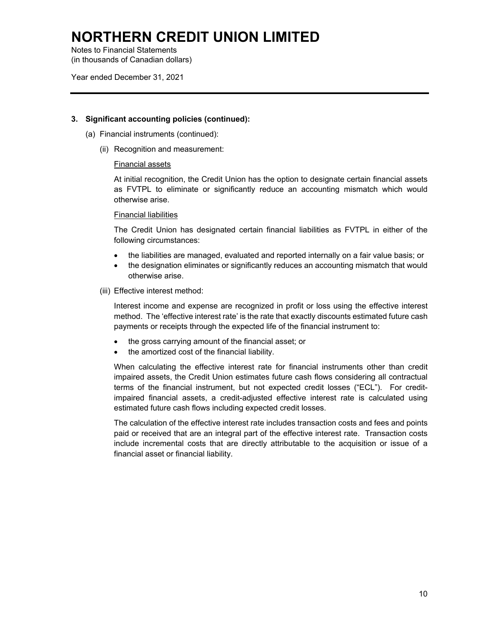Notes to Financial Statements (in thousands of Canadian dollars)

Year ended December 31, 2021

### **3. Significant accounting policies (continued):**

- (a) Financial instruments (continued):
	- (ii) Recognition and measurement:

### Financial assets

At initial recognition, the Credit Union has the option to designate certain financial assets as FVTPL to eliminate or significantly reduce an accounting mismatch which would otherwise arise.

#### Financial liabilities

The Credit Union has designated certain financial liabilities as FVTPL in either of the following circumstances:

- the liabilities are managed, evaluated and reported internally on a fair value basis; or
- the designation eliminates or significantly reduces an accounting mismatch that would otherwise arise.
- (iii) Effective interest method:

Interest income and expense are recognized in profit or loss using the effective interest method. The 'effective interest rate' is the rate that exactly discounts estimated future cash payments or receipts through the expected life of the financial instrument to:

- the gross carrying amount of the financial asset; or
- the amortized cost of the financial liability.

When calculating the effective interest rate for financial instruments other than credit impaired assets, the Credit Union estimates future cash flows considering all contractual terms of the financial instrument, but not expected credit losses ("ECL"). For creditimpaired financial assets, a credit-adjusted effective interest rate is calculated using estimated future cash flows including expected credit losses.

The calculation of the effective interest rate includes transaction costs and fees and points paid or received that are an integral part of the effective interest rate. Transaction costs include incremental costs that are directly attributable to the acquisition or issue of a financial asset or financial liability.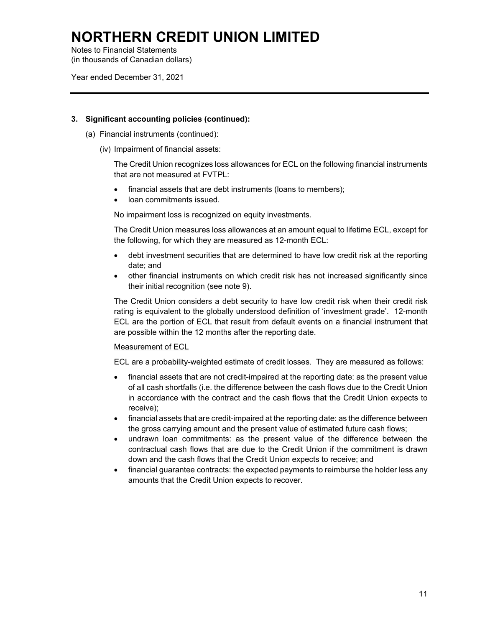Notes to Financial Statements (in thousands of Canadian dollars)

Year ended December 31, 2021

### **3. Significant accounting policies (continued):**

- (a) Financial instruments (continued):
	- (iv) Impairment of financial assets:

The Credit Union recognizes loss allowances for ECL on the following financial instruments that are not measured at FVTPL:

- financial assets that are debt instruments (loans to members);
- loan commitments issued.

No impairment loss is recognized on equity investments.

The Credit Union measures loss allowances at an amount equal to lifetime ECL, except for the following, for which they are measured as 12-month ECL:

- debt investment securities that are determined to have low credit risk at the reporting date; and
- other financial instruments on which credit risk has not increased significantly since their initial recognition (see note 9).

The Credit Union considers a debt security to have low credit risk when their credit risk rating is equivalent to the globally understood definition of 'investment grade'. 12-month ECL are the portion of ECL that result from default events on a financial instrument that are possible within the 12 months after the reporting date.

#### Measurement of ECL

ECL are a probability-weighted estimate of credit losses. They are measured as follows:

- financial assets that are not credit-impaired at the reporting date: as the present value of all cash shortfalls (i.e. the difference between the cash flows due to the Credit Union in accordance with the contract and the cash flows that the Credit Union expects to receive);
- financial assets that are credit-impaired at the reporting date: as the difference between the gross carrying amount and the present value of estimated future cash flows;
- undrawn loan commitments: as the present value of the difference between the contractual cash flows that are due to the Credit Union if the commitment is drawn down and the cash flows that the Credit Union expects to receive; and
- financial guarantee contracts: the expected payments to reimburse the holder less any amounts that the Credit Union expects to recover.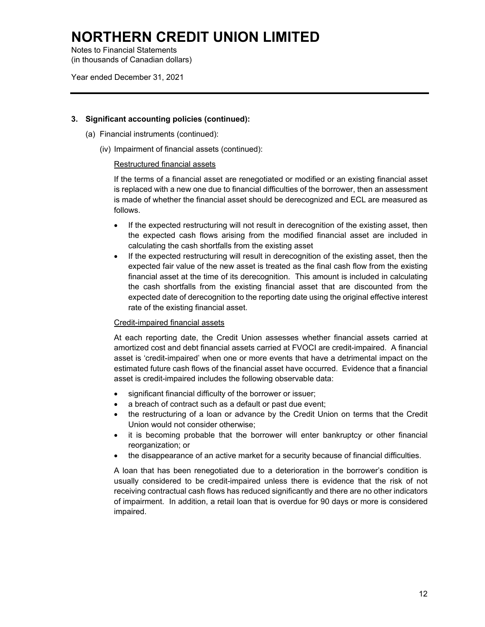Notes to Financial Statements (in thousands of Canadian dollars)

Year ended December 31, 2021

### **3. Significant accounting policies (continued):**

- (a) Financial instruments (continued):
	- (iv) Impairment of financial assets (continued):

### Restructured financial assets

If the terms of a financial asset are renegotiated or modified or an existing financial asset is replaced with a new one due to financial difficulties of the borrower, then an assessment is made of whether the financial asset should be derecognized and ECL are measured as follows.

- If the expected restructuring will not result in derecognition of the existing asset, then the expected cash flows arising from the modified financial asset are included in calculating the cash shortfalls from the existing asset
- If the expected restructuring will result in derecognition of the existing asset, then the expected fair value of the new asset is treated as the final cash flow from the existing financial asset at the time of its derecognition. This amount is included in calculating the cash shortfalls from the existing financial asset that are discounted from the expected date of derecognition to the reporting date using the original effective interest rate of the existing financial asset.

### Credit-impaired financial assets

At each reporting date, the Credit Union assesses whether financial assets carried at amortized cost and debt financial assets carried at FVOCI are credit-impaired. A financial asset is 'credit-impaired' when one or more events that have a detrimental impact on the estimated future cash flows of the financial asset have occurred. Evidence that a financial asset is credit-impaired includes the following observable data:

- significant financial difficulty of the borrower or issuer;
- a breach of contract such as a default or past due event;
- the restructuring of a loan or advance by the Credit Union on terms that the Credit Union would not consider otherwise;
- it is becoming probable that the borrower will enter bankruptcy or other financial reorganization; or
- the disappearance of an active market for a security because of financial difficulties.

A loan that has been renegotiated due to a deterioration in the borrower's condition is usually considered to be credit-impaired unless there is evidence that the risk of not receiving contractual cash flows has reduced significantly and there are no other indicators of impairment. In addition, a retail loan that is overdue for 90 days or more is considered impaired.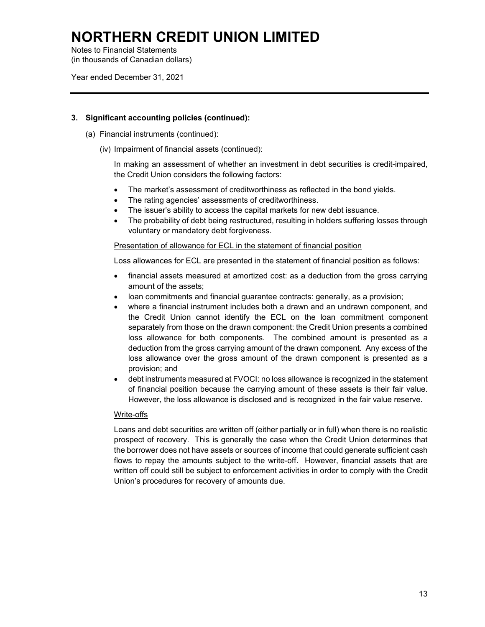Notes to Financial Statements (in thousands of Canadian dollars)

Year ended December 31, 2021

### **3. Significant accounting policies (continued):**

- (a) Financial instruments (continued):
	- (iv) Impairment of financial assets (continued):

In making an assessment of whether an investment in debt securities is credit-impaired, the Credit Union considers the following factors:

- The market's assessment of creditworthiness as reflected in the bond yields.
- The rating agencies' assessments of creditworthiness.
- The issuer's ability to access the capital markets for new debt issuance.
- The probability of debt being restructured, resulting in holders suffering losses through voluntary or mandatory debt forgiveness.

#### Presentation of allowance for ECL in the statement of financial position

Loss allowances for ECL are presented in the statement of financial position as follows:

- financial assets measured at amortized cost: as a deduction from the gross carrying amount of the assets;
- loan commitments and financial guarantee contracts: generally, as a provision;
- where a financial instrument includes both a drawn and an undrawn component, and the Credit Union cannot identify the ECL on the loan commitment component separately from those on the drawn component: the Credit Union presents a combined loss allowance for both components. The combined amount is presented as a deduction from the gross carrying amount of the drawn component. Any excess of the loss allowance over the gross amount of the drawn component is presented as a provision; and
- debt instruments measured at FVOCI: no loss allowance is recognized in the statement of financial position because the carrying amount of these assets is their fair value. However, the loss allowance is disclosed and is recognized in the fair value reserve.

### Write-offs

Loans and debt securities are written off (either partially or in full) when there is no realistic prospect of recovery. This is generally the case when the Credit Union determines that the borrower does not have assets or sources of income that could generate sufficient cash flows to repay the amounts subject to the write-off. However, financial assets that are written off could still be subject to enforcement activities in order to comply with the Credit Union's procedures for recovery of amounts due.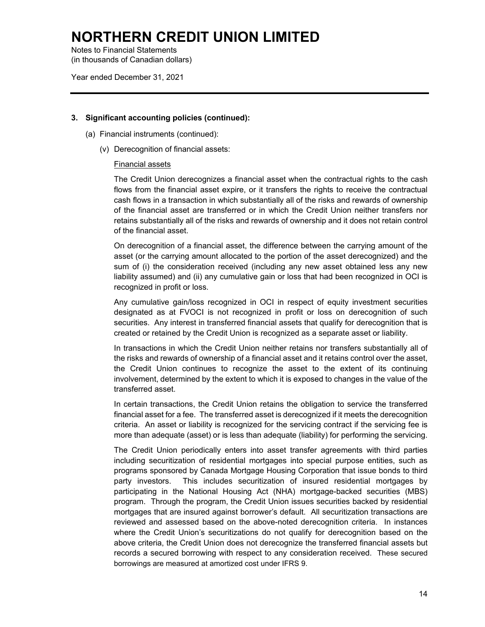Notes to Financial Statements (in thousands of Canadian dollars)

Year ended December 31, 2021

#### **3. Significant accounting policies (continued):**

- (a) Financial instruments (continued):
	- (v) Derecognition of financial assets:

#### Financial assets

The Credit Union derecognizes a financial asset when the contractual rights to the cash flows from the financial asset expire, or it transfers the rights to receive the contractual cash flows in a transaction in which substantially all of the risks and rewards of ownership of the financial asset are transferred or in which the Credit Union neither transfers nor retains substantially all of the risks and rewards of ownership and it does not retain control of the financial asset.

On derecognition of a financial asset, the difference between the carrying amount of the asset (or the carrying amount allocated to the portion of the asset derecognized) and the sum of (i) the consideration received (including any new asset obtained less any new liability assumed) and (ii) any cumulative gain or loss that had been recognized in OCI is recognized in profit or loss.

Any cumulative gain/loss recognized in OCI in respect of equity investment securities designated as at FVOCI is not recognized in profit or loss on derecognition of such securities. Any interest in transferred financial assets that qualify for derecognition that is created or retained by the Credit Union is recognized as a separate asset or liability.

In transactions in which the Credit Union neither retains nor transfers substantially all of the risks and rewards of ownership of a financial asset and it retains control over the asset, the Credit Union continues to recognize the asset to the extent of its continuing involvement, determined by the extent to which it is exposed to changes in the value of the transferred asset.

In certain transactions, the Credit Union retains the obligation to service the transferred financial asset for a fee. The transferred asset is derecognized if it meets the derecognition criteria. An asset or liability is recognized for the servicing contract if the servicing fee is more than adequate (asset) or is less than adequate (liability) for performing the servicing.

The Credit Union periodically enters into asset transfer agreements with third parties including securitization of residential mortgages into special purpose entities, such as programs sponsored by Canada Mortgage Housing Corporation that issue bonds to third party investors. This includes securitization of insured residential mortgages by participating in the National Housing Act (NHA) mortgage-backed securities (MBS) program. Through the program, the Credit Union issues securities backed by residential mortgages that are insured against borrower's default. All securitization transactions are reviewed and assessed based on the above-noted derecognition criteria. In instances where the Credit Union's securitizations do not qualify for derecognition based on the above criteria, the Credit Union does not derecognize the transferred financial assets but records a secured borrowing with respect to any consideration received. These secured borrowings are measured at amortized cost under IFRS 9.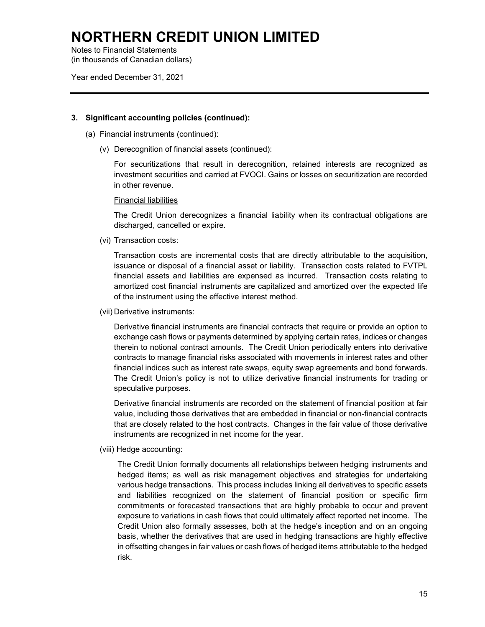Notes to Financial Statements (in thousands of Canadian dollars)

Year ended December 31, 2021

#### **3. Significant accounting policies (continued):**

- (a) Financial instruments (continued):
	- (v) Derecognition of financial assets (continued):

For securitizations that result in derecognition, retained interests are recognized as investment securities and carried at FVOCI. Gains or losses on securitization are recorded in other revenue.

#### Financial liabilities

The Credit Union derecognizes a financial liability when its contractual obligations are discharged, cancelled or expire.

(vi) Transaction costs:

Transaction costs are incremental costs that are directly attributable to the acquisition, issuance or disposal of a financial asset or liability. Transaction costs related to FVTPL financial assets and liabilities are expensed as incurred. Transaction costs relating to amortized cost financial instruments are capitalized and amortized over the expected life of the instrument using the effective interest method.

(vii) Derivative instruments:

 Derivative financial instruments are financial contracts that require or provide an option to exchange cash flows or payments determined by applying certain rates, indices or changes therein to notional contract amounts. The Credit Union periodically enters into derivative contracts to manage financial risks associated with movements in interest rates and other financial indices such as interest rate swaps, equity swap agreements and bond forwards. The Credit Union's policy is not to utilize derivative financial instruments for trading or speculative purposes.

 Derivative financial instruments are recorded on the statement of financial position at fair value, including those derivatives that are embedded in financial or non-financial contracts that are closely related to the host contracts. Changes in the fair value of those derivative instruments are recognized in net income for the year.

(viii) Hedge accounting:

 The Credit Union formally documents all relationships between hedging instruments and hedged items; as well as risk management objectives and strategies for undertaking various hedge transactions. This process includes linking all derivatives to specific assets and liabilities recognized on the statement of financial position or specific firm commitments or forecasted transactions that are highly probable to occur and prevent exposure to variations in cash flows that could ultimately affect reported net income. The Credit Union also formally assesses, both at the hedge's inception and on an ongoing basis, whether the derivatives that are used in hedging transactions are highly effective in offsetting changes in fair values or cash flows of hedged items attributable to the hedged risk.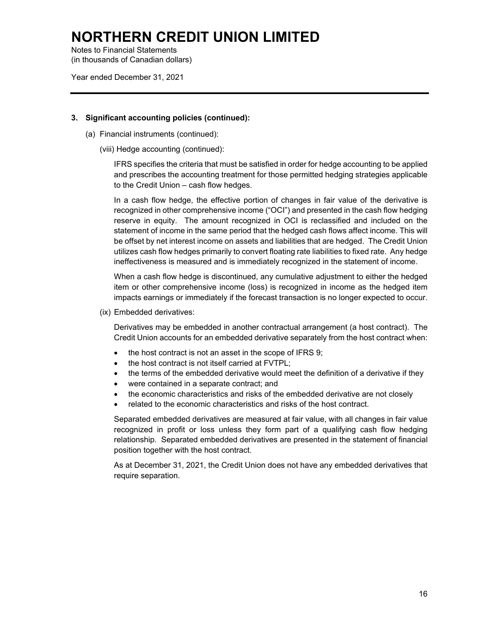Notes to Financial Statements (in thousands of Canadian dollars)

Year ended December 31, 2021

#### **3. Significant accounting policies (continued):**

- (a) Financial instruments (continued):
	- (viii) Hedge accounting (continued):

IFRS specifies the criteria that must be satisfied in order for hedge accounting to be applied and prescribes the accounting treatment for those permitted hedging strategies applicable to the Credit Union – cash flow hedges.

In a cash flow hedge, the effective portion of changes in fair value of the derivative is recognized in other comprehensive income ("OCI") and presented in the cash flow hedging reserve in equity. The amount recognized in OCI is reclassified and included on the statement of income in the same period that the hedged cash flows affect income. This will be offset by net interest income on assets and liabilities that are hedged. The Credit Union utilizes cash flow hedges primarily to convert floating rate liabilities to fixed rate. Any hedge ineffectiveness is measured and is immediately recognized in the statement of income.

When a cash flow hedge is discontinued, any cumulative adjustment to either the hedged item or other comprehensive income (loss) is recognized in income as the hedged item impacts earnings or immediately if the forecast transaction is no longer expected to occur.

(ix) Embedded derivatives:

Derivatives may be embedded in another contractual arrangement (a host contract). The Credit Union accounts for an embedded derivative separately from the host contract when:

- the host contract is not an asset in the scope of IFRS 9;
- the host contract is not itself carried at FVTPL;
- the terms of the embedded derivative would meet the definition of a derivative if they
- were contained in a separate contract; and
- the economic characteristics and risks of the embedded derivative are not closely
- related to the economic characteristics and risks of the host contract.

Separated embedded derivatives are measured at fair value, with all changes in fair value recognized in profit or loss unless they form part of a qualifying cash flow hedging relationship. Separated embedded derivatives are presented in the statement of financial position together with the host contract.

As at December 31, 2021, the Credit Union does not have any embedded derivatives that require separation.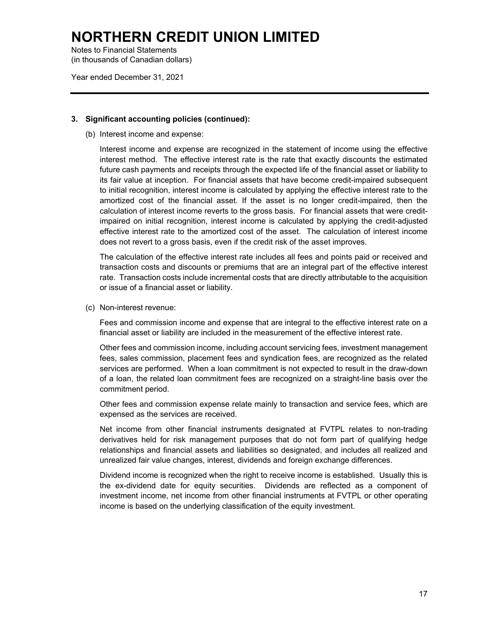Notes to Financial Statements (in thousands of Canadian dollars)

Year ended December 31, 2021

#### **3. Significant accounting policies (continued):**

(b) Interest income and expense:

 Interest income and expense are recognized in the statement of income using the effective interest method. The effective interest rate is the rate that exactly discounts the estimated future cash payments and receipts through the expected life of the financial asset or liability to its fair value at inception. For financial assets that have become credit-impaired subsequent to initial recognition, interest income is calculated by applying the effective interest rate to the amortized cost of the financial asset. If the asset is no longer credit-impaired, then the calculation of interest income reverts to the gross basis. For financial assets that were creditimpaired on initial recognition, interest income is calculated by applying the credit-adjusted effective interest rate to the amortized cost of the asset. The calculation of interest income does not revert to a gross basis, even if the credit risk of the asset improves.

 The calculation of the effective interest rate includes all fees and points paid or received and transaction costs and discounts or premiums that are an integral part of the effective interest rate. Transaction costs include incremental costs that are directly attributable to the acquisition or issue of a financial asset or liability.

(c) Non-interest revenue:

Fees and commission income and expense that are integral to the effective interest rate on a financial asset or liability are included in the measurement of the effective interest rate.

Other fees and commission income, including account servicing fees, investment management fees, sales commission, placement fees and syndication fees, are recognized as the related services are performed. When a loan commitment is not expected to result in the draw-down of a loan, the related loan commitment fees are recognized on a straight-line basis over the commitment period.

Other fees and commission expense relate mainly to transaction and service fees, which are expensed as the services are received.

Net income from other financial instruments designated at FVTPL relates to non-trading derivatives held for risk management purposes that do not form part of qualifying hedge relationships and financial assets and liabilities so designated, and includes all realized and unrealized fair value changes, interest, dividends and foreign exchange differences.

Dividend income is recognized when the right to receive income is established. Usually this is the ex-dividend date for equity securities. Dividends are reflected as a component of investment income, net income from other financial instruments at FVTPL or other operating income is based on the underlying classification of the equity investment.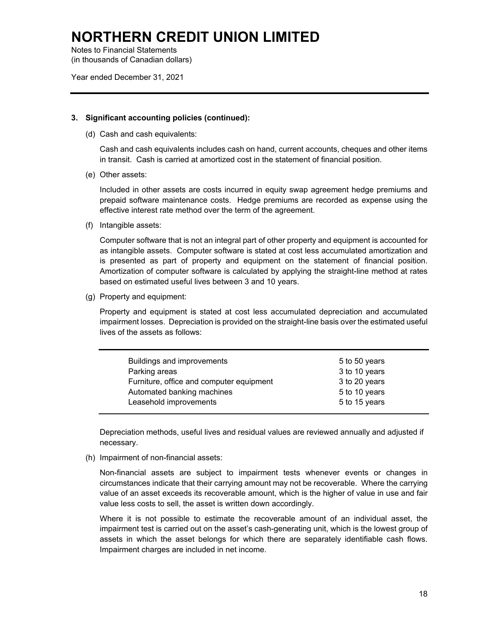Notes to Financial Statements (in thousands of Canadian dollars)

Year ended December 31, 2021

#### **3. Significant accounting policies (continued):**

(d) Cash and cash equivalents:

Cash and cash equivalents includes cash on hand, current accounts, cheques and other items in transit. Cash is carried at amortized cost in the statement of financial position.

(e) Other assets:

Included in other assets are costs incurred in equity swap agreement hedge premiums and prepaid software maintenance costs. Hedge premiums are recorded as expense using the effective interest rate method over the term of the agreement.

(f) Intangible assets:

Computer software that is not an integral part of other property and equipment is accounted for as intangible assets. Computer software is stated at cost less accumulated amortization and is presented as part of property and equipment on the statement of financial position. Amortization of computer software is calculated by applying the straight-line method at rates based on estimated useful lives between 3 and 10 years.

(g) Property and equipment:

 Property and equipment is stated at cost less accumulated depreciation and accumulated impairment losses. Depreciation is provided on the straight-line basis over the estimated useful lives of the assets as follows:

| Buildings and improvements               | 5 to 50 years |
|------------------------------------------|---------------|
| Parking areas                            | 3 to 10 years |
| Furniture, office and computer equipment | 3 to 20 years |
| Automated banking machines               | 5 to 10 years |
| Leasehold improvements                   | 5 to 15 years |
|                                          |               |

Depreciation methods, useful lives and residual values are reviewed annually and adjusted if necessary.

(h) Impairment of non-financial assets:

Non-financial assets are subject to impairment tests whenever events or changes in circumstances indicate that their carrying amount may not be recoverable. Where the carrying value of an asset exceeds its recoverable amount, which is the higher of value in use and fair value less costs to sell, the asset is written down accordingly.

Where it is not possible to estimate the recoverable amount of an individual asset, the impairment test is carried out on the asset's cash-generating unit, which is the lowest group of assets in which the asset belongs for which there are separately identifiable cash flows. Impairment charges are included in net income.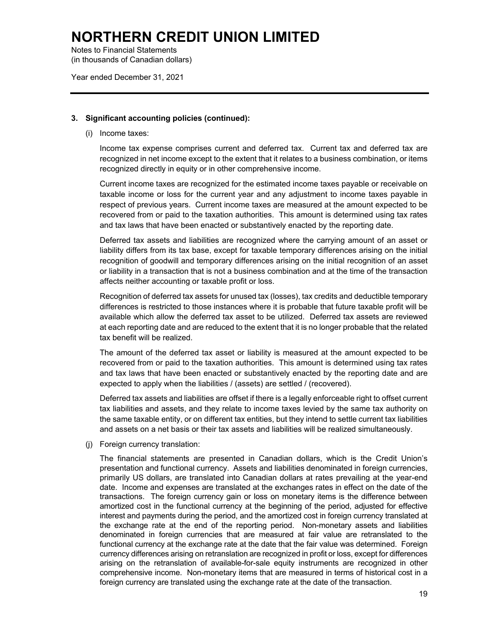Notes to Financial Statements (in thousands of Canadian dollars)

Year ended December 31, 2021

#### **3. Significant accounting policies (continued):**

(i) Income taxes:

 Income tax expense comprises current and deferred tax. Current tax and deferred tax are recognized in net income except to the extent that it relates to a business combination, or items recognized directly in equity or in other comprehensive income.

 Current income taxes are recognized for the estimated income taxes payable or receivable on taxable income or loss for the current year and any adjustment to income taxes payable in respect of previous years. Current income taxes are measured at the amount expected to be recovered from or paid to the taxation authorities. This amount is determined using tax rates and tax laws that have been enacted or substantively enacted by the reporting date.

 Deferred tax assets and liabilities are recognized where the carrying amount of an asset or liability differs from its tax base, except for taxable temporary differences arising on the initial recognition of goodwill and temporary differences arising on the initial recognition of an asset or liability in a transaction that is not a business combination and at the time of the transaction affects neither accounting or taxable profit or loss.

Recognition of deferred tax assets for unused tax (losses), tax credits and deductible temporary differences is restricted to those instances where it is probable that future taxable profit will be available which allow the deferred tax asset to be utilized. Deferred tax assets are reviewed at each reporting date and are reduced to the extent that it is no longer probable that the related tax benefit will be realized.

 The amount of the deferred tax asset or liability is measured at the amount expected to be recovered from or paid to the taxation authorities. This amount is determined using tax rates and tax laws that have been enacted or substantively enacted by the reporting date and are expected to apply when the liabilities / (assets) are settled / (recovered).

Deferred tax assets and liabilities are offset if there is a legally enforceable right to offset current tax liabilities and assets, and they relate to income taxes levied by the same tax authority on the same taxable entity, or on different tax entities, but they intend to settle current tax liabilities and assets on a net basis or their tax assets and liabilities will be realized simultaneously.

(j) Foreign currency translation:

 The financial statements are presented in Canadian dollars, which is the Credit Union's presentation and functional currency. Assets and liabilities denominated in foreign currencies, primarily US dollars, are translated into Canadian dollars at rates prevailing at the year-end date. Income and expenses are translated at the exchanges rates in effect on the date of the transactions. The foreign currency gain or loss on monetary items is the difference between amortized cost in the functional currency at the beginning of the period, adjusted for effective interest and payments during the period, and the amortized cost in foreign currency translated at the exchange rate at the end of the reporting period. Non-monetary assets and liabilities denominated in foreign currencies that are measured at fair value are retranslated to the functional currency at the exchange rate at the date that the fair value was determined. Foreign currency differences arising on retranslation are recognized in profit or loss, except for differences arising on the retranslation of available-for-sale equity instruments are recognized in other comprehensive income. Non-monetary items that are measured in terms of historical cost in a foreign currency are translated using the exchange rate at the date of the transaction.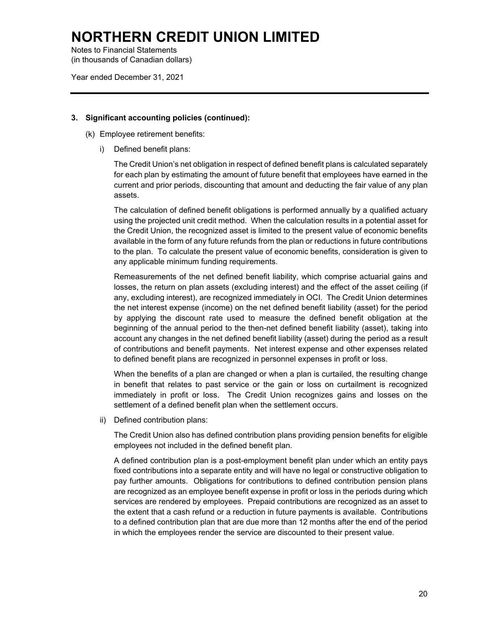Notes to Financial Statements (in thousands of Canadian dollars)

Year ended December 31, 2021

### **3. Significant accounting policies (continued):**

- (k) Employee retirement benefits:
	- i) Defined benefit plans:

The Credit Union's net obligation in respect of defined benefit plans is calculated separately for each plan by estimating the amount of future benefit that employees have earned in the current and prior periods, discounting that amount and deducting the fair value of any plan assets.

The calculation of defined benefit obligations is performed annually by a qualified actuary using the projected unit credit method. When the calculation results in a potential asset for the Credit Union, the recognized asset is limited to the present value of economic benefits available in the form of any future refunds from the plan or reductions in future contributions to the plan. To calculate the present value of economic benefits, consideration is given to any applicable minimum funding requirements.

Remeasurements of the net defined benefit liability, which comprise actuarial gains and losses, the return on plan assets (excluding interest) and the effect of the asset ceiling (if any, excluding interest), are recognized immediately in OCI. The Credit Union determines the net interest expense (income) on the net defined benefit liability (asset) for the period by applying the discount rate used to measure the defined benefit obligation at the beginning of the annual period to the then-net defined benefit liability (asset), taking into account any changes in the net defined benefit liability (asset) during the period as a result of contributions and benefit payments. Net interest expense and other expenses related to defined benefit plans are recognized in personnel expenses in profit or loss.

 When the benefits of a plan are changed or when a plan is curtailed, the resulting change in benefit that relates to past service or the gain or loss on curtailment is recognized immediately in profit or loss. The Credit Union recognizes gains and losses on the settlement of a defined benefit plan when the settlement occurs.

ii) Defined contribution plans:

The Credit Union also has defined contribution plans providing pension benefits for eligible employees not included in the defined benefit plan.

A defined contribution plan is a post-employment benefit plan under which an entity pays fixed contributions into a separate entity and will have no legal or constructive obligation to pay further amounts. Obligations for contributions to defined contribution pension plans are recognized as an employee benefit expense in profit or loss in the periods during which services are rendered by employees. Prepaid contributions are recognized as an asset to the extent that a cash refund or a reduction in future payments is available. Contributions to a defined contribution plan that are due more than 12 months after the end of the period in which the employees render the service are discounted to their present value.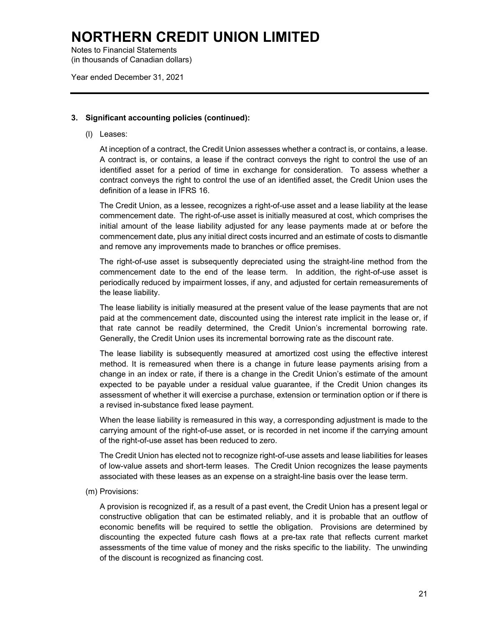Notes to Financial Statements (in thousands of Canadian dollars)

Year ended December 31, 2021

#### **3. Significant accounting policies (continued):**

(l) Leases:

At inception of a contract, the Credit Union assesses whether a contract is, or contains, a lease. A contract is, or contains, a lease if the contract conveys the right to control the use of an identified asset for a period of time in exchange for consideration. To assess whether a contract conveys the right to control the use of an identified asset, the Credit Union uses the definition of a lease in IFRS 16.

The Credit Union, as a lessee, recognizes a right-of-use asset and a lease liability at the lease commencement date. The right-of-use asset is initially measured at cost, which comprises the initial amount of the lease liability adjusted for any lease payments made at or before the commencement date, plus any initial direct costs incurred and an estimate of costs to dismantle and remove any improvements made to branches or office premises.

The right-of-use asset is subsequently depreciated using the straight-line method from the commencement date to the end of the lease term. In addition, the right-of-use asset is periodically reduced by impairment losses, if any, and adjusted for certain remeasurements of the lease liability.

The lease liability is initially measured at the present value of the lease payments that are not paid at the commencement date, discounted using the interest rate implicit in the lease or, if that rate cannot be readily determined, the Credit Union's incremental borrowing rate. Generally, the Credit Union uses its incremental borrowing rate as the discount rate.

The lease liability is subsequently measured at amortized cost using the effective interest method. It is remeasured when there is a change in future lease payments arising from a change in an index or rate, if there is a change in the Credit Union's estimate of the amount expected to be payable under a residual value guarantee, if the Credit Union changes its assessment of whether it will exercise a purchase, extension or termination option or if there is a revised in-substance fixed lease payment.

When the lease liability is remeasured in this way, a corresponding adjustment is made to the carrying amount of the right-of-use asset, or is recorded in net income if the carrying amount of the right-of-use asset has been reduced to zero.

The Credit Union has elected not to recognize right-of-use assets and lease liabilities for leases of low-value assets and short-term leases. The Credit Union recognizes the lease payments associated with these leases as an expense on a straight-line basis over the lease term.

(m) Provisions:

A provision is recognized if, as a result of a past event, the Credit Union has a present legal or constructive obligation that can be estimated reliably, and it is probable that an outflow of economic benefits will be required to settle the obligation. Provisions are determined by discounting the expected future cash flows at a pre-tax rate that reflects current market assessments of the time value of money and the risks specific to the liability. The unwinding of the discount is recognized as financing cost.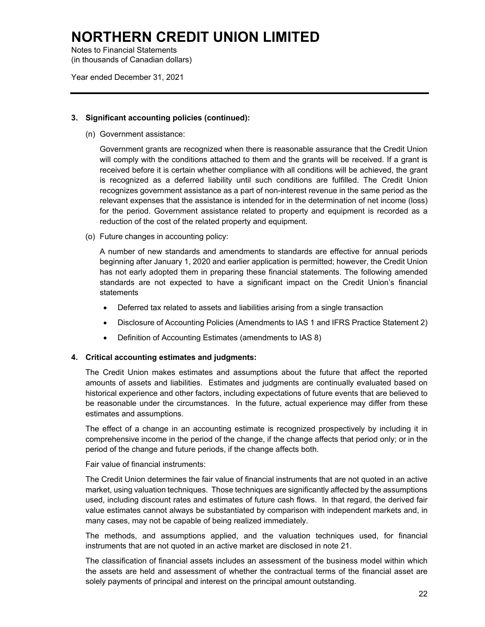Notes to Financial Statements (in thousands of Canadian dollars)

Year ended December 31, 2021

### **3. Significant accounting policies (continued):**

(n) Government assistance:

Government grants are recognized when there is reasonable assurance that the Credit Union will comply with the conditions attached to them and the grants will be received. If a grant is received before it is certain whether compliance with all conditions will be achieved, the grant is recognized as a deferred liability until such conditions are fulfilled. The Credit Union recognizes government assistance as a part of non-interest revenue in the same period as the relevant expenses that the assistance is intended for in the determination of net income (loss) for the period. Government assistance related to property and equipment is recorded as a reduction of the cost of the related property and equipment.

(o) Future changes in accounting policy:

A number of new standards and amendments to standards are effective for annual periods beginning after January 1, 2020 and earlier application is permitted; however, the Credit Union has not early adopted them in preparing these financial statements. The following amended standards are not expected to have a significant impact on the Credit Union's financial statements

- Deferred tax related to assets and liabilities arising from a single transaction
- Disclosure of Accounting Policies (Amendments to IAS 1 and IFRS Practice Statement 2)
- Definition of Accounting Estimates (amendments to IAS 8)

### **4. Critical accounting estimates and judgments:**

The Credit Union makes estimates and assumptions about the future that affect the reported amounts of assets and liabilities. Estimates and judgments are continually evaluated based on historical experience and other factors, including expectations of future events that are believed to be reasonable under the circumstances. In the future, actual experience may differ from these estimates and assumptions.

The effect of a change in an accounting estimate is recognized prospectively by including it in comprehensive income in the period of the change, if the change affects that period only; or in the period of the change and future periods, if the change affects both.

Fair value of financial instruments:

The Credit Union determines the fair value of financial instruments that are not quoted in an active market, using valuation techniques. Those techniques are significantly affected by the assumptions used, including discount rates and estimates of future cash flows. In that regard, the derived fair value estimates cannot always be substantiated by comparison with independent markets and, in many cases, may not be capable of being realized immediately.

The methods, and assumptions applied, and the valuation techniques used, for financial instruments that are not quoted in an active market are disclosed in note 21.

The classification of financial assets includes an assessment of the business model within which the assets are held and assessment of whether the contractual terms of the financial asset are solely payments of principal and interest on the principal amount outstanding.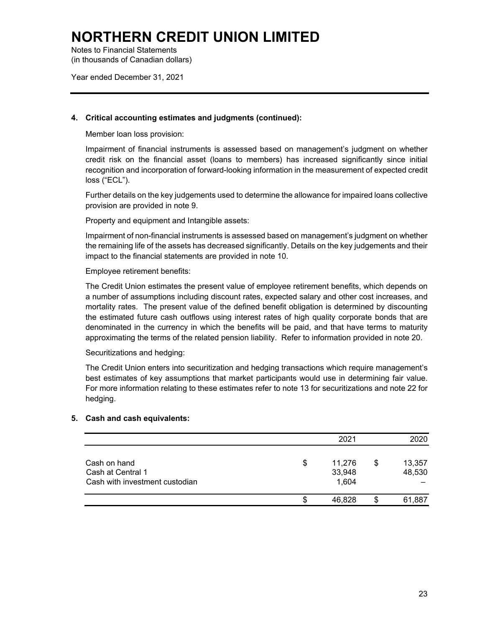Notes to Financial Statements (in thousands of Canadian dollars)

Year ended December 31, 2021

### **4. Critical accounting estimates and judgments (continued):**

Member loan loss provision:

Impairment of financial instruments is assessed based on management's judgment on whether credit risk on the financial asset (loans to members) has increased significantly since initial recognition and incorporation of forward-looking information in the measurement of expected credit loss ("ECL").

Further details on the key judgements used to determine the allowance for impaired loans collective provision are provided in note 9.

Property and equipment and Intangible assets:

Impairment of non-financial instruments is assessed based on management's judgment on whether the remaining life of the assets has decreased significantly. Details on the key judgements and their impact to the financial statements are provided in note 10.

Employee retirement benefits:

The Credit Union estimates the present value of employee retirement benefits, which depends on a number of assumptions including discount rates, expected salary and other cost increases, and mortality rates. The present value of the defined benefit obligation is determined by discounting the estimated future cash outflows using interest rates of high quality corporate bonds that are denominated in the currency in which the benefits will be paid, and that have terms to maturity approximating the terms of the related pension liability. Refer to information provided in note 20.

Securitizations and hedging:

The Credit Union enters into securitization and hedging transactions which require management's best estimates of key assumptions that market participants would use in determining fair value. For more information relating to these estimates refer to note 13 for securitizations and note 22 for hedging.

### **5. Cash and cash equivalents:**

|                                                                     |    | 2021                      |    | 2020             |
|---------------------------------------------------------------------|----|---------------------------|----|------------------|
| Cash on hand<br>Cash at Central 1<br>Cash with investment custodian | \$ | 11,276<br>33,948<br>1,604 | \$ | 13,357<br>48,530 |
|                                                                     | S  | 46,828                    | S  | 61,887           |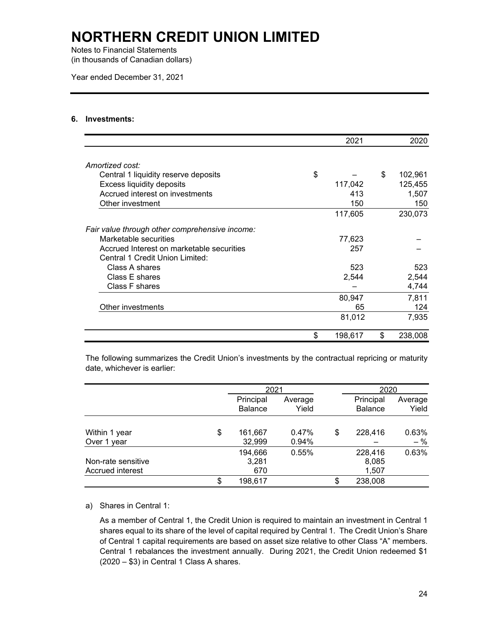Notes to Financial Statements (in thousands of Canadian dollars)

Year ended December 31, 2021

#### **6. Investments:**

|                                                | 2021          | 2020          |
|------------------------------------------------|---------------|---------------|
|                                                |               |               |
| Amortized cost:                                |               |               |
| Central 1 liquidity reserve deposits           | \$            | \$<br>102,961 |
| <b>Excess liquidity deposits</b>               | 117,042       | 125,455       |
| Accrued interest on investments                | 413           | 1,507         |
| Other investment                               | 150           | 150           |
|                                                | 117,605       | 230,073       |
| Fair value through other comprehensive income: |               |               |
| Marketable securities                          | 77,623        |               |
| Accrued Interest on marketable securities      | 257           |               |
| Central 1 Credit Union Limited:                |               |               |
| Class A shares                                 | 523           | 523           |
| Class E shares                                 | 2,544         | 2,544         |
| Class F shares                                 |               | 4,744         |
|                                                | 80,947        | 7,811         |
| Other investments                              | 65            | 124           |
|                                                | 81,012        | 7,935         |
|                                                | \$<br>198,617 | \$<br>238,008 |

The following summarizes the Credit Union's investments by the contractual repricing or maturity date, whichever is earlier:

|                                        | 2021                        |                  | 2020                        |                  |
|----------------------------------------|-----------------------------|------------------|-----------------------------|------------------|
|                                        | Principal<br><b>Balance</b> | Average<br>Yield | Principal<br><b>Balance</b> | Average<br>Yield |
| Within 1 year<br>Over 1 year           | \$<br>161,667<br>32,999     | 0.47%<br>0.94%   | \$<br>228,416               | 0.63%<br>$-$ %   |
| Non-rate sensitive<br>Accrued interest | 194,666<br>3,281<br>670     | 0.55%            | 228,416<br>8,085<br>1,507   | 0.63%            |
|                                        | \$<br>198,617               |                  | \$<br>238,008               |                  |

### a) Shares in Central 1:

As a member of Central 1, the Credit Union is required to maintain an investment in Central 1 shares equal to its share of the level of capital required by Central 1. The Credit Union's Share of Central 1 capital requirements are based on asset size relative to other Class "A" members. Central 1 rebalances the investment annually. During 2021, the Credit Union redeemed \$1 (2020 – \$3) in Central 1 Class A shares.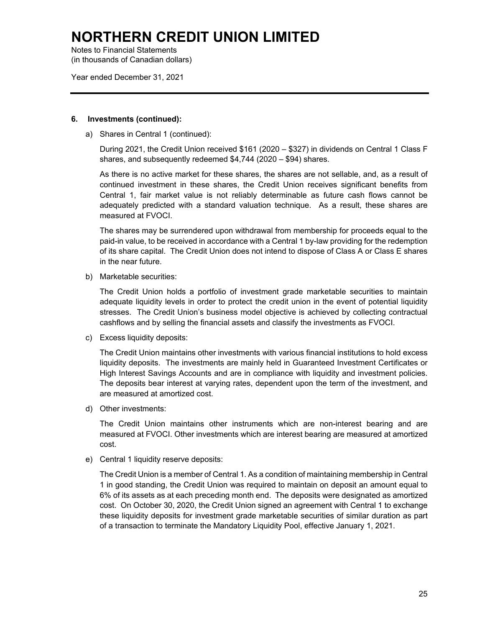Notes to Financial Statements (in thousands of Canadian dollars)

Year ended December 31, 2021

#### **6. Investments (continued):**

a) Shares in Central 1 (continued):

During 2021, the Credit Union received \$161 (2020 – \$327) in dividends on Central 1 Class F shares, and subsequently redeemed \$4,744 (2020 – \$94) shares.

As there is no active market for these shares, the shares are not sellable, and, as a result of continued investment in these shares, the Credit Union receives significant benefits from Central 1, fair market value is not reliably determinable as future cash flows cannot be adequately predicted with a standard valuation technique. As a result, these shares are measured at FVOCI.

The shares may be surrendered upon withdrawal from membership for proceeds equal to the paid-in value, to be received in accordance with a Central 1 by-law providing for the redemption of its share capital. The Credit Union does not intend to dispose of Class A or Class E shares in the near future.

b) Marketable securities:

The Credit Union holds a portfolio of investment grade marketable securities to maintain adequate liquidity levels in order to protect the credit union in the event of potential liquidity stresses. The Credit Union's business model objective is achieved by collecting contractual cashflows and by selling the financial assets and classify the investments as FVOCI.

c) Excess liquidity deposits:

The Credit Union maintains other investments with various financial institutions to hold excess liquidity deposits. The investments are mainly held in Guaranteed Investment Certificates or High Interest Savings Accounts and are in compliance with liquidity and investment policies. The deposits bear interest at varying rates, dependent upon the term of the investment, and are measured at amortized cost.

d) Other investments:

The Credit Union maintains other instruments which are non-interest bearing and are measured at FVOCI. Other investments which are interest bearing are measured at amortized cost.

e) Central 1 liquidity reserve deposits:

The Credit Union is a member of Central 1. As a condition of maintaining membership in Central 1 in good standing, the Credit Union was required to maintain on deposit an amount equal to 6% of its assets as at each preceding month end. The deposits were designated as amortized cost. On October 30, 2020, the Credit Union signed an agreement with Central 1 to exchange these liquidity deposits for investment grade marketable securities of similar duration as part of a transaction to terminate the Mandatory Liquidity Pool, effective January 1, 2021.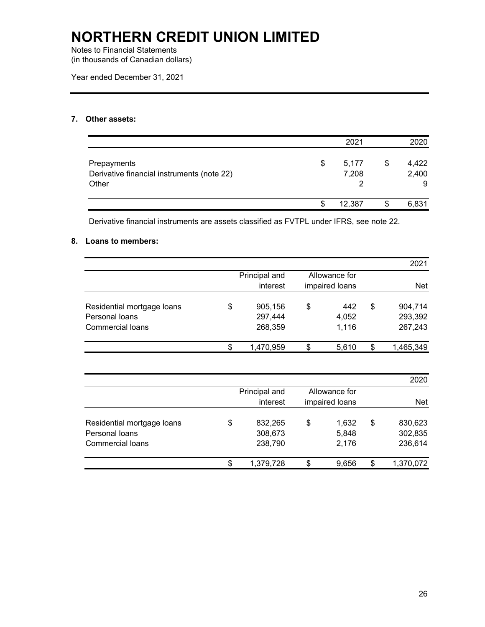Notes to Financial Statements (in thousands of Canadian dollars)

Year ended December 31, 2021

### **7. Other assets:**

|                                                                    |   | 2021           | 2020                      |
|--------------------------------------------------------------------|---|----------------|---------------------------|
| Prepayments<br>Derivative financial instruments (note 22)<br>Other | S | 5,177<br>7,208 | \$<br>4,422<br>2,400<br>9 |
|                                                                    |   | 12,387         | \$<br>6,831               |

Derivative financial instruments are assets classified as FVTPL under IFRS, see note 22.

### **8. Loans to members:**

|          |           |                |       | 2021            |  |
|----------|-----------|----------------|-------|-----------------|--|
|          |           | Allowance for  |       |                 |  |
| interest |           | impaired loans |       | Net             |  |
| \$       | 905,156   | \$             | 442   | \$<br>904,714   |  |
|          | 297,444   |                | 4,052 | 293,392         |  |
|          | 268,359   |                | 1,116 | 267,243         |  |
|          | 1,470,959 | \$             | 5,610 | \$<br>1,465,349 |  |
|          |           | Principal and  |       |                 |  |

|                            |    |               |                |    | 2020      |
|----------------------------|----|---------------|----------------|----|-----------|
|                            |    | Principal and | Allowance for  |    |           |
|                            |    | interest      | impaired loans |    | Net       |
| Residential mortgage loans | \$ | 832,265       | \$<br>1,632    | \$ | 830,623   |
| Personal loans             |    | 308,673       | 5,848          |    | 302,835   |
| Commercial loans           |    | 238,790       | 2,176          |    | 236,614   |
|                            | S  | 1,379,728     | \$<br>9.656    | S  | 1,370,072 |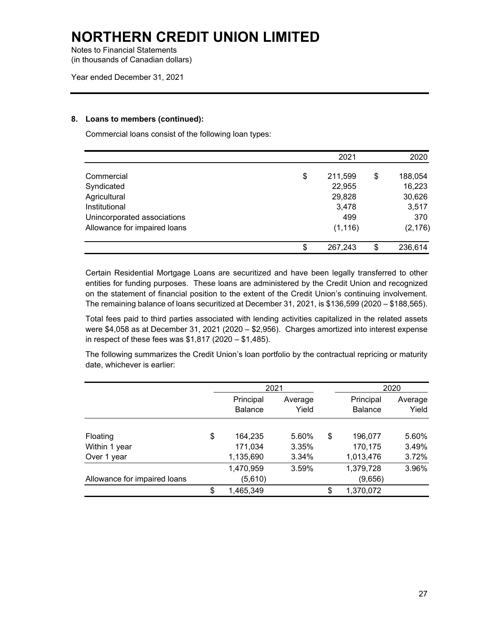Notes to Financial Statements (in thousands of Canadian dollars)

Year ended December 31, 2021

#### **8. Loans to members (continued):**

Commercial loans consist of the following loan types:

|                              | 2021          | 2020          |
|------------------------------|---------------|---------------|
| Commercial                   | \$<br>211,599 | \$<br>188,054 |
| Syndicated                   | 22,955        | 16,223        |
| Agricultural                 | 29,828        | 30,626        |
| Institutional                | 3,478         | 3,517         |
| Unincorporated associations  | 499           | 370           |
| Allowance for impaired loans | (1, 116)      | (2, 176)      |
|                              | \$<br>267,243 | \$<br>236,614 |

Certain Residential Mortgage Loans are securitized and have been legally transferred to other entities for funding purposes. These loans are administered by the Credit Union and recognized on the statement of financial position to the extent of the Credit Union's continuing involvement. The remaining balance of loans securitized at December 31, 2021, is \$136,599 (2020 – \$188,565).

Total fees paid to third parties associated with lending activities capitalized in the related assets were \$4,058 as at December 31, 2021 (2020 – \$2,956). Charges amortized into interest expense in respect of these fees was \$1,817 (2020 – \$1,485).

The following summarizes the Credit Union's loan portfolio by the contractual repricing or maturity date, whichever is earlier:

|                              | 2021                        |                  |                             | 2020             |
|------------------------------|-----------------------------|------------------|-----------------------------|------------------|
|                              | Principal<br><b>Balance</b> | Average<br>Yield | Principal<br><b>Balance</b> | Average<br>Yield |
| Floating                     | \$<br>164,235               | 5.60%            | \$<br>196,077               | 5.60%            |
| Within 1 year                | 171,034                     | 3.35%            | 170,175                     | 3.49%            |
| Over 1 year                  | 1,135,690                   | 3.34%            | 1,013,476                   | 3.72%            |
|                              | 1,470,959                   | 3.59%            | 1,379,728                   | 3.96%            |
| Allowance for impaired loans | (5,610)                     |                  | (9,656)                     |                  |
|                              | \$<br>1,465,349             |                  | 1,370,072                   |                  |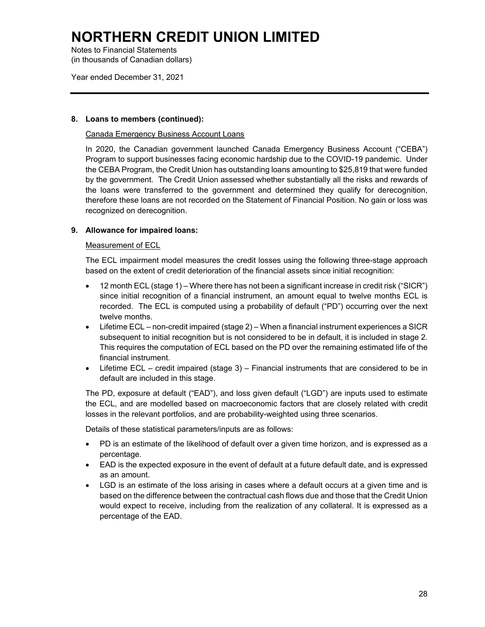Notes to Financial Statements (in thousands of Canadian dollars)

Year ended December 31, 2021

#### **8. Loans to members (continued):**

#### Canada Emergency Business Account Loans

In 2020, the Canadian government launched Canada Emergency Business Account ("CEBA") Program to support businesses facing economic hardship due to the COVID-19 pandemic. Under the CEBA Program, the Credit Union has outstanding loans amounting to \$25,819 that were funded by the government. The Credit Union assessed whether substantially all the risks and rewards of the loans were transferred to the government and determined they qualify for derecognition, therefore these loans are not recorded on the Statement of Financial Position. No gain or loss was recognized on derecognition.

### **9. Allowance for impaired loans:**

### Measurement of ECL

The ECL impairment model measures the credit losses using the following three-stage approach based on the extent of credit deterioration of the financial assets since initial recognition:

- 12 month ECL (stage 1) Where there has not been a significant increase in credit risk ("SICR") since initial recognition of a financial instrument, an amount equal to twelve months ECL is recorded. The ECL is computed using a probability of default ("PD") occurring over the next twelve months.
- Lifetime ECL non-credit impaired (stage 2) When a financial instrument experiences a SICR subsequent to initial recognition but is not considered to be in default, it is included in stage 2. This requires the computation of ECL based on the PD over the remaining estimated life of the financial instrument.
- Lifetime ECL credit impaired (stage 3) Financial instruments that are considered to be in default are included in this stage.

The PD, exposure at default ("EAD"), and loss given default ("LGD") are inputs used to estimate the ECL, and are modelled based on macroeconomic factors that are closely related with credit losses in the relevant portfolios, and are probability-weighted using three scenarios.

Details of these statistical parameters/inputs are as follows:

- PD is an estimate of the likelihood of default over a given time horizon, and is expressed as a percentage.
- EAD is the expected exposure in the event of default at a future default date, and is expressed as an amount.
- LGD is an estimate of the loss arising in cases where a default occurs at a given time and is based on the difference between the contractual cash flows due and those that the Credit Union would expect to receive, including from the realization of any collateral. It is expressed as a percentage of the EAD.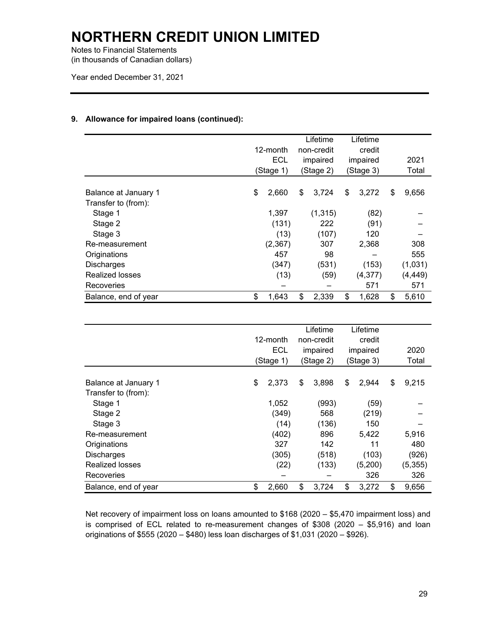Notes to Financial Statements (in thousands of Canadian dollars)

Year ended December 31, 2021

### **9. Allowance for impaired loans (continued):**

|                        |             | Lifetime    | Lifetime    |             |
|------------------------|-------------|-------------|-------------|-------------|
|                        | 12-month    | non-credit  | credit      |             |
|                        | <b>ECL</b>  | impaired    | impaired    | 2021        |
|                        | (Stage 1)   | (Stage 2)   | (Stage 3)   | Total       |
|                        |             |             |             |             |
| Balance at January 1   | \$<br>2,660 | \$<br>3,724 | \$<br>3,272 | \$<br>9,656 |
| Transfer to (from):    |             |             |             |             |
| Stage 1                | 1,397       | (1, 315)    | (82)        |             |
| Stage 2                | (131)       | 222         | (91)        |             |
| Stage 3                | (13)        | (107)       | 120         |             |
| Re-measurement         | (2, 367)    | 307         | 2,368       | 308         |
| Originations           | 457         | 98          |             | 555         |
| <b>Discharges</b>      | (347)       | (531)       | (153)       | (1,031)     |
| <b>Realized losses</b> | (13)        | (59)        | (4, 377)    | (4, 449)    |
| Recoveries             |             |             | 571         | 571         |
| Balance, end of year   | \$<br>1,643 | \$<br>2,339 | \$<br>1,628 | \$<br>5,610 |

|                        | 12-month    | Lifetime<br>non-credit | Lifetime<br>credit |             |
|------------------------|-------------|------------------------|--------------------|-------------|
|                        | <b>ECL</b>  | impaired               | impaired           | 2020        |
|                        | (Stage 1)   | (Stage 2)              | (Stage 3)          | Total       |
|                        |             |                        |                    |             |
| Balance at January 1   | \$<br>2,373 | \$<br>3,898            | \$<br>2,944        | \$<br>9,215 |
| Transfer to (from):    |             |                        |                    |             |
| Stage 1                | 1,052       | (993)                  | (59)               |             |
| Stage 2                | (349)       | 568                    | (219)              |             |
| Stage 3                | (14)        | (136)                  | 150                |             |
| Re-measurement         | (402)       | 896                    | 5,422              | 5,916       |
| Originations           | 327         | 142                    | 11                 | 480         |
| <b>Discharges</b>      | (305)       | (518)                  | (103)              | (926)       |
| <b>Realized losses</b> | (22)        | (133)                  | (5,200)            | (5, 355)    |
| Recoveries             |             |                        | 326                | 326         |
| Balance, end of year   | \$<br>2,660 | \$<br>3,724            | \$<br>3,272        | \$<br>9,656 |

Net recovery of impairment loss on loans amounted to \$168 (2020 – \$5,470 impairment loss) and is comprised of ECL related to re-measurement changes of \$308 (2020 – \$5,916) and loan originations of \$555 (2020 – \$480) less loan discharges of \$1,031 (2020 – \$926).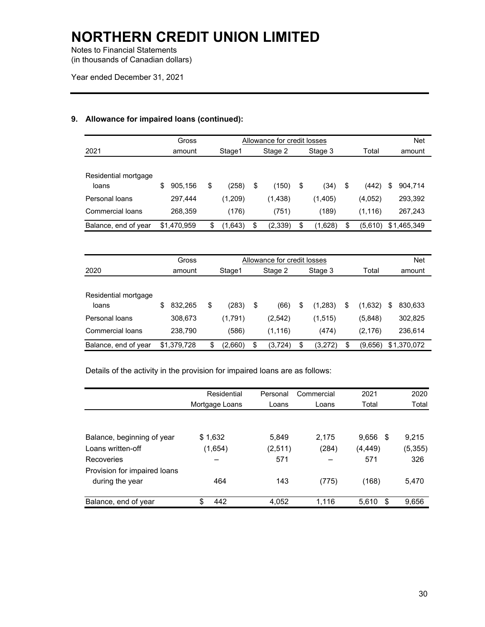Notes to Financial Statements (in thousands of Canadian dollars)

Year ended December 31, 2021

### **9. Allowance for impaired loans (continued):**

|                      |   | Gross       | Allowance for credit losses |    |          |    |         |    |          |   | <b>Net</b>  |
|----------------------|---|-------------|-----------------------------|----|----------|----|---------|----|----------|---|-------------|
| 2021                 |   | amount      | Stage1                      |    | Stage 2  |    | Stage 3 |    | Total    |   | amount      |
|                      |   |             |                             |    |          |    |         |    |          |   |             |
| Residential mortgage |   |             |                             |    |          |    |         |    |          |   |             |
| loans                | S | 905,156     | \$<br>(258)                 | \$ | (150)    | \$ | (34)    | \$ | (442)    | S | 904,714     |
| Personal loans       |   | 297.444     | (1,209)                     |    | (1, 438) |    | (1,405) |    | (4,052)  |   | 293,392     |
| Commercial loans     |   | 268.359     | (176)                       |    | (751)    |    | (189)   |    | (1, 116) |   | 267,243     |
| Balance, end of year |   | \$1,470,959 | \$<br>(1,643)               | \$ | (2,339)  | \$ | (1,628) | \$ | (5,610)  |   | \$1,465,349 |

|                      |   | Gross       |    |         | Allowance for credit losses |    |         |               |        | <b>Net</b>  |
|----------------------|---|-------------|----|---------|-----------------------------|----|---------|---------------|--------|-------------|
| 2020                 |   | amount      |    | Stage1  | Stage 3<br>Stage 2          |    | Total   |               | amount |             |
|                      |   |             |    |         |                             |    |         |               |        |             |
| Residential mortgage |   |             |    |         |                             |    |         |               |        |             |
| loans                | S | 832.265     | \$ | (283)   | \$<br>(66)                  | \$ | (1,283) | \$<br>(1,632) | S      | 830,633     |
| Personal loans       |   | 308.673     |    | (1,791) | (2,542)                     |    | (1,515) | (5,848)       |        | 302,825     |
| Commercial loans     |   | 238.790     |    | (586)   | (1, 116)                    |    | (474)   | (2, 176)      |        | 236,614     |
| Balance, end of year |   | \$1,379,728 | S  | (2,660) | \$<br>(3,724)               | \$ | (3,272) | \$<br>(9,656) |        | \$1,370,072 |

Details of the activity in the provision for impaired loans are as follows:

|                              | Residential    | Personal | Commercial | 2021          | 2020     |
|------------------------------|----------------|----------|------------|---------------|----------|
|                              | Mortgage Loans | Loans    | Loans      | Total         | Total    |
|                              |                |          |            |               |          |
|                              |                |          |            |               |          |
| Balance, beginning of year   | \$1,632        | 5,849    | 2,175      | 9,656<br>- \$ | 9,215    |
| Loans written-off            | (1,654)        | (2,511)  | (284)      | (4,449)       | (5, 355) |
| Recoveries                   |                | 571      |            | 571           | 326      |
| Provision for impaired loans |                |          |            |               |          |
| during the year              | 464            | 143      | (775)      | (168)         | 5,470    |
|                              |                |          |            |               |          |
| Balance, end of year         | \$<br>442      | 4,052    | 1,116      | 5,610<br>\$   | 9,656    |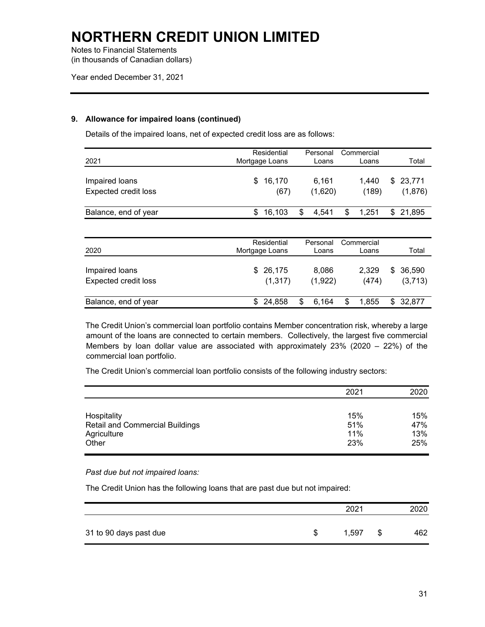Notes to Financial Statements (in thousands of Canadian dollars)

Year ended December 31, 2021

#### **9. Allowance for impaired loans (continued)**

Details of the impaired loans, net of expected credit loss are as follows:

| 2021                                          | Residential<br>Mortgage Loans | Personal<br>Loans | Commercial<br>Loans | Total               |
|-----------------------------------------------|-------------------------------|-------------------|---------------------|---------------------|
| Impaired loans<br><b>Expected credit loss</b> | \$16,170<br>(67)              | 6.161<br>(1,620)  | 1.440<br>(189)      | \$23,771<br>(1,876) |
| Balance, end of year                          | 16,103                        | \$<br>4.541       | 1.251<br>\$         | \$21,895            |

| 2020                                          | Residential<br>Mortgage Loans |   | Personal<br>Loans | Commercial<br>Loans | Total               |
|-----------------------------------------------|-------------------------------|---|-------------------|---------------------|---------------------|
| Impaired loans<br><b>Expected credit loss</b> | \$26,175<br>(1, 317)          |   | 8.086<br>(1,922)  | 2.329<br>(474)      | \$36,590<br>(3,713) |
| Balance, end of year                          | \$24.858                      | S | 6.164             | 1.855<br>S          | \$32,877            |

The Credit Union's commercial loan portfolio contains Member concentration risk, whereby a large amount of the loans are connected to certain members. Collectively, the largest five commercial Members by loan dollar value are associated with approximately 23% (2020 – 22%) of the commercial loan portfolio.

The Credit Union's commercial loan portfolio consists of the following industry sectors:

|                                        | 2021 | 2020 |
|----------------------------------------|------|------|
|                                        |      |      |
| Hospitality                            | 15%  | 15%  |
| <b>Retail and Commercial Buildings</b> | 51%  | 47%  |
| Agriculture                            | 11%  | 13%  |
| Other                                  | 23%  | 25%  |

#### *Past due but not impaired loans:*

The Credit Union has the following loans that are past due but not impaired:

|                        |   | 2021  | 2020 |     |
|------------------------|---|-------|------|-----|
| 31 to 90 days past due | S | 1.597 | \$   | 462 |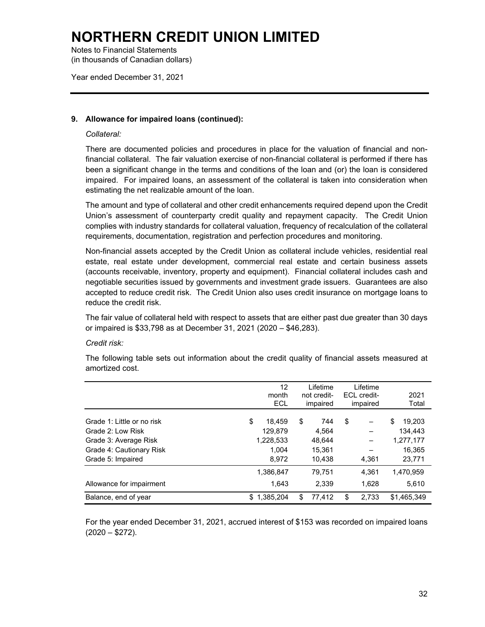Notes to Financial Statements (in thousands of Canadian dollars)

Year ended December 31, 2021

#### **9. Allowance for impaired loans (continued):**

#### *Collateral:*

There are documented policies and procedures in place for the valuation of financial and nonfinancial collateral. The fair valuation exercise of non-financial collateral is performed if there has been a significant change in the terms and conditions of the loan and (or) the loan is considered impaired. For impaired loans, an assessment of the collateral is taken into consideration when estimating the net realizable amount of the loan.

The amount and type of collateral and other credit enhancements required depend upon the Credit Union's assessment of counterparty credit quality and repayment capacity. The Credit Union complies with industry standards for collateral valuation, frequency of recalculation of the collateral requirements, documentation, registration and perfection procedures and monitoring.

Non-financial assets accepted by the Credit Union as collateral include vehicles, residential real estate, real estate under development, commercial real estate and certain business assets (accounts receivable, inventory, property and equipment). Financial collateral includes cash and negotiable securities issued by governments and investment grade issuers. Guarantees are also accepted to reduce credit risk. The Credit Union also uses credit insurance on mortgage loans to reduce the credit risk.

The fair value of collateral held with respect to assets that are either past due greater than 30 days or impaired is \$33,798 as at December 31, 2021 (2020 – \$46,283).

#### *Credit risk:*

The following table sets out information about the credit quality of financial assets measured at amortized cost.

|                            | 12<br>month<br>ECL | Lifetime<br>not credit-<br>impaired | Lifetime<br>ECL credit-<br>impaired | 2021<br>Total |
|----------------------------|--------------------|-------------------------------------|-------------------------------------|---------------|
| Grade 1: Little or no risk | \$<br>18.459       | \$<br>744                           | \$                                  | \$<br>19,203  |
| Grade 2: Low Risk          | 129.879            | 4.564                               |                                     | 134,443       |
| Grade 3: Average Risk      | 1,228,533          | 48.644                              |                                     | 1,277,177     |
| Grade 4: Cautionary Risk   | 1.004              | 15.361                              |                                     | 16,365        |
| Grade 5: Impaired          | 8,972              | 10,438                              | 4.361                               | 23,771        |
|                            | 1,386,847          | 79.751                              | 4.361                               | 1,470,959     |
| Allowance for impairment   | 1.643              | 2.339                               | 1.628                               | 5.610         |
| Balance, end of year       | \$1,385,204        | 77.412<br>\$                        | \$<br>2.733                         | \$1,465,349   |

For the year ended December 31, 2021, accrued interest of \$153 was recorded on impaired loans (2020 – \$272).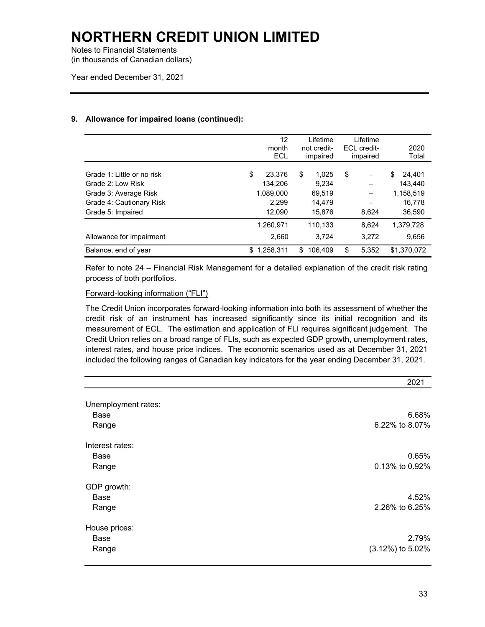Notes to Financial Statements (in thousands of Canadian dollars)

Year ended December 31, 2021

### **9. Allowance for impaired loans (continued):**

|                            | 12<br>month<br><b>ECL</b> | Lifetime<br>not credit-<br>impaired | Lifetime<br>ECL credit-<br>impaired | 2020<br>Total |
|----------------------------|---------------------------|-------------------------------------|-------------------------------------|---------------|
|                            |                           |                                     |                                     |               |
| Grade 1: Little or no risk | \$<br>23.376              | 1.025<br>\$                         | \$                                  | \$<br>24.401  |
| Grade 2: Low Risk          | 134.206                   | 9.234                               |                                     | 143.440       |
| Grade 3: Average Risk      | 1,089,000                 | 69.519                              |                                     | 1,158,519     |
| Grade 4: Cautionary Risk   | 2.299                     | 14.479                              |                                     | 16.778        |
| Grade 5: Impaired          | 12,090                    | 15.876                              | 8,624                               | 36,590        |
|                            | 1,260,971                 | 110,133                             | 8,624                               | 1,379,728     |
| Allowance for impairment   | 2,660                     | 3.724                               | 3.272                               | 9,656         |
| Balance, end of year       | \$1,258,311               | 106.409<br>\$                       | \$<br>5.352                         | \$1,370,072   |

Refer to note 24 – Financial Risk Management for a detailed explanation of the credit risk rating process of both portfolios.

### Forward-looking information ("FLI")

The Credit Union incorporates forward-looking information into both its assessment of whether the credit risk of an instrument has increased significantly since its initial recognition and its measurement of ECL. The estimation and application of FLI requires significant judgement. The Credit Union relies on a broad range of FLIs, such as expected GDP growth, unemployment rates, interest rates, and house price indices. The economic scenarios used as at December 31, 2021 included the following ranges of Canadian key indicators for the year ending December 31, 2021.

|                     | 2021                 |
|---------------------|----------------------|
|                     |                      |
| Unemployment rates: |                      |
| Base                | 6.68%                |
| Range               | 6.22% to 8.07%       |
| Interest rates:     |                      |
| Base                | 0.65%                |
| Range               | $0.13\%$ to $0.92\%$ |
| GDP growth:         |                      |
| Base                | 4.52%                |
| Range               | 2.26% to 6.25%       |
| House prices:       |                      |
| Base                | 2.79%                |
| Range               | $(3.12\%)$ to 5.02%  |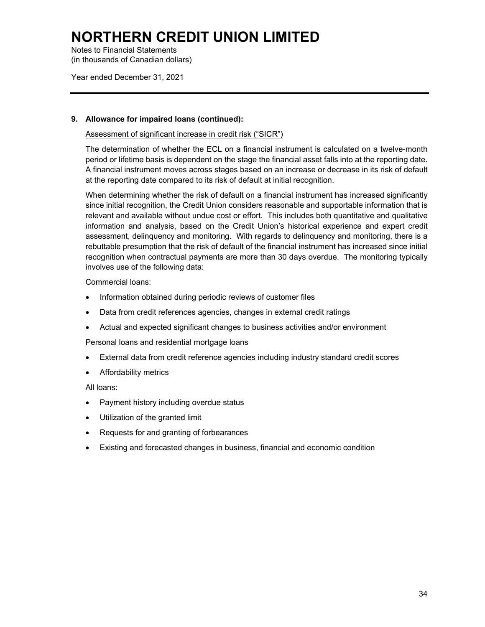Notes to Financial Statements (in thousands of Canadian dollars)

Year ended December 31, 2021

### **9. Allowance for impaired loans (continued):**

Assessment of significant increase in credit risk ("SICR")

The determination of whether the ECL on a financial instrument is calculated on a twelve-month period or lifetime basis is dependent on the stage the financial asset falls into at the reporting date. A financial instrument moves across stages based on an increase or decrease in its risk of default at the reporting date compared to its risk of default at initial recognition.

When determining whether the risk of default on a financial instrument has increased significantly since initial recognition, the Credit Union considers reasonable and supportable information that is relevant and available without undue cost or effort. This includes both quantitative and qualitative information and analysis, based on the Credit Union's historical experience and expert credit assessment, delinquency and monitoring. With regards to delinquency and monitoring, there is a rebuttable presumption that the risk of default of the financial instrument has increased since initial recognition when contractual payments are more than 30 days overdue. The monitoring typically involves use of the following data:

Commercial loans:

- Information obtained during periodic reviews of customer files
- Data from credit references agencies, changes in external credit ratings
- Actual and expected significant changes to business activities and/or environment

Personal loans and residential mortgage loans

- External data from credit reference agencies including industry standard credit scores
- Affordability metrics

All loans:

- Payment history including overdue status
- Utilization of the granted limit
- Requests for and granting of forbearances
- Existing and forecasted changes in business, financial and economic condition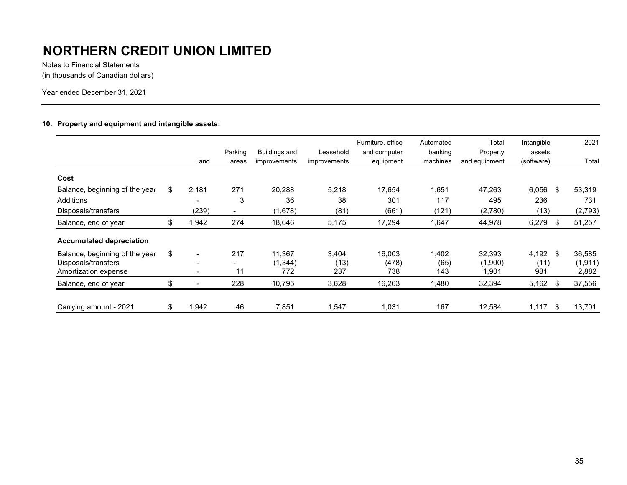Notes to Financial Statements (in thousands of Canadian dollars)

Year ended December 31, 2021

### **10. Property and equipment and intangible assets:**

|                                 |     | Land           | Parking<br>areas         | Buildings and<br>improvements | Leasehold<br>improvements | Furniture, office<br>and computer<br>equipment | Automated<br>banking<br>machines | Total<br>Property<br>and equipment | Intangible<br>assets<br>(software) | 2021<br>Total |
|---------------------------------|-----|----------------|--------------------------|-------------------------------|---------------------------|------------------------------------------------|----------------------------------|------------------------------------|------------------------------------|---------------|
| Cost                            |     |                |                          |                               |                           |                                                |                                  |                                    |                                    |               |
| Balance, beginning of the year  | \$  | 2,181          | 271                      | 20,288                        | 5,218                     | 17,654                                         | 1,651                            | 47,263                             | 6,056                              | 53,319<br>-\$ |
| Additions                       |     | $\blacksquare$ | 3                        | 36                            | 38                        | 301                                            | 117                              | 495                                | 236                                | 731           |
| Disposals/transfers             |     | (239)          | $\blacksquare$           | (1,678)                       | (81)                      | (661)                                          | (121)                            | (2,780)                            | (13)                               | (2,793)       |
| Balance, end of year            | \$. | 1,942          | 274                      | 18,646                        | 5,175                     | 17,294                                         | 1,647                            | 44,978                             | 6,279                              | 51,257<br>\$  |
| <b>Accumulated depreciation</b> |     |                |                          |                               |                           |                                                |                                  |                                    |                                    |               |
| Balance, beginning of the year  | \$  | $\blacksquare$ | 217                      | 11,367                        | 3,404                     | 16,003                                         | 1,402                            | 32,393                             | 4,192 $$$                          | 36,585        |
| Disposals/transfers             |     |                | $\overline{\phantom{a}}$ | (1, 344)                      | (13)                      | (478)                                          | (65)                             | (1,900)                            | (11)                               | (1, 911)      |
| Amortization expense            |     |                | 11                       | 772                           | 237                       | 738                                            | 143                              | 1,901                              | 981                                | 2,882         |
| Balance, end of year            | \$  | $\blacksquare$ | 228                      | 10,795                        | 3,628                     | 16,263                                         | 1,480                            | 32,394                             | $5,162$ \$                         | 37,556        |
| Carrying amount - 2021          | \$  | ,942           | 46                       | 7,851                         | 1,547                     | 1,031                                          | 167                              | 12,584                             | 1,117                              | 13,701<br>-\$ |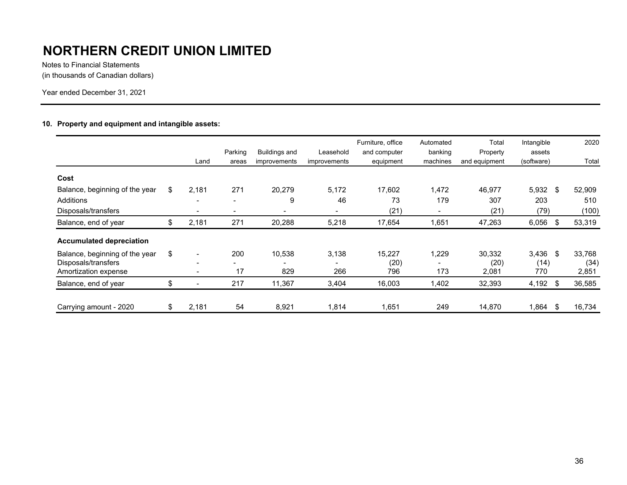Notes to Financial Statements (in thousands of Canadian dollars)

Year ended December 31, 2021

### **10. Property and equipment and intangible assets:**

|                                 | Land                 | Parking<br>areas         | Buildings and<br>improvements | Leasehold<br>improvements | Furniture, office<br>and computer<br>equipment | Automated<br>banking<br>machines | Total<br>Property<br>and equipment | Intangible<br>assets<br>(software) | 2020<br>Total |
|---------------------------------|----------------------|--------------------------|-------------------------------|---------------------------|------------------------------------------------|----------------------------------|------------------------------------|------------------------------------|---------------|
| Cost                            |                      |                          |                               |                           |                                                |                                  |                                    |                                    |               |
| Balance, beginning of the year  | \$<br>2,181          | 271                      | 20,279                        | 5,172                     | 17,602                                         | 1,472                            | 46,977                             | $5,932$ \$                         | 52,909        |
| Additions                       | $\blacksquare$       | $\overline{\phantom{a}}$ | 9                             | 46                        | 73                                             | 179                              | 307                                | 203                                | 510           |
| Disposals/transfers             | $\blacksquare$       | $\overline{\phantom{a}}$ | -                             | $\blacksquare$            | (21)                                           | $\overline{\phantom{a}}$         | (21)                               | (79)                               | (100)         |
| Balance, end of year            | 2,181                | 271                      | 20,288                        | 5,218                     | 17,654                                         | 1,651                            | 47,263                             | 6,056<br>\$                        | 53,319        |
| <b>Accumulated depreciation</b> |                      |                          |                               |                           |                                                |                                  |                                    |                                    |               |
| Balance, beginning of the year  | \$<br>$\blacksquare$ | 200                      | 10,538                        | 3,138                     | 15,227                                         | 1,229                            | 30,332                             | $3,436$ \$                         | 33,768        |
| Disposals/transfers             |                      |                          |                               |                           | (20)                                           |                                  | (20)                               | (14)                               | (34)          |
| Amortization expense            | $\blacksquare$       | 17                       | 829                           | 266                       | 796                                            | 173                              | 2,081                              | 770                                | 2,851         |
| Balance, end of year            | \$<br>$\blacksquare$ | 217                      | 11,367                        | 3,404                     | 16,003                                         | 1,402                            | 32,393                             | 4,192 $$$                          | 36,585        |
| Carrying amount - 2020          | \$<br>2,181          | 54                       | 8,921                         | 1,814                     | 1,651                                          | 249                              | 14,870                             | 1,864<br>\$                        | 16,734        |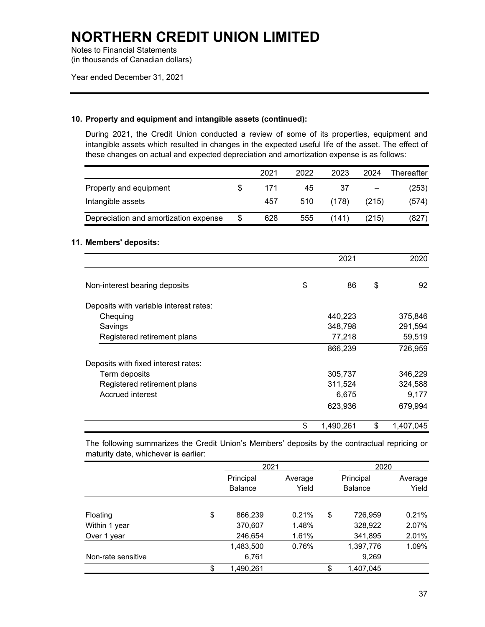Notes to Financial Statements (in thousands of Canadian dollars)

Year ended December 31, 2021

#### **10. Property and equipment and intangible assets (continued):**

During 2021, the Credit Union conducted a review of some of its properties, equipment and intangible assets which resulted in changes in the expected useful life of the asset. The effect of these changes on actual and expected depreciation and amortization expense is as follows:

|                                        | 2021      | 2022 | 2023      | 2024  | Thereafter |
|----------------------------------------|-----------|------|-----------|-------|------------|
| Property and equipment                 | \$<br>171 | 45   | 37        |       | (253)      |
| Intangible assets                      | 457       | 510  | (178)     | (215) | (574)      |
| Depreciation and amortization expense  | \$<br>628 | 555  | (141)     | (215) | (827)      |
| 11. Members' deposits:                 |           |      |           |       |            |
|                                        |           |      | 2021      |       | 2020       |
| Non-interest bearing deposits          |           | \$   | 86        | \$    | 92         |
| Deposits with variable interest rates: |           |      |           |       |            |
| Chequing                               |           |      | 440,223   |       | 375,846    |
| Savings                                |           |      | 348,798   |       | 291,594    |
| Registered retirement plans            |           |      | 77,218    |       | 59,519     |
|                                        |           |      | 866,239   |       | 726,959    |
| Deposits with fixed interest rates:    |           |      |           |       |            |
| Term deposits                          |           |      | 305,737   |       | 346,229    |
| Registered retirement plans            |           |      | 311,524   |       | 324,588    |
| Accrued interest                       |           |      | 6,675     |       | 9,177      |
|                                        |           |      | 623,936   |       | 679,994    |
|                                        |           | \$   | 1,490,261 | \$    | 1,407,045  |

The following summarizes the Credit Union's Members' deposits by the contractual repricing or maturity date, whichever is earlier:

|                    |                             | 2021             |    | 2020                 |                  |
|--------------------|-----------------------------|------------------|----|----------------------|------------------|
|                    | Principal<br><b>Balance</b> | Average<br>Yield |    | Principal<br>Balance | Average<br>Yield |
|                    |                             |                  |    |                      |                  |
| Floating           | \$<br>866,239               | 0.21%            | \$ | 726,959              | 0.21%            |
| Within 1 year      | 370,607                     | 1.48%            |    | 328,922              | 2.07%            |
| Over 1 year        | 246,654                     | 1.61%            |    | 341,895              | 2.01%            |
|                    | 1,483,500                   | 0.76%            |    | 1,397,776            | 1.09%            |
| Non-rate sensitive | 6,761                       |                  |    | 9,269                |                  |
|                    | \$<br>1,490,261             |                  | ـ  | 1,407,045            |                  |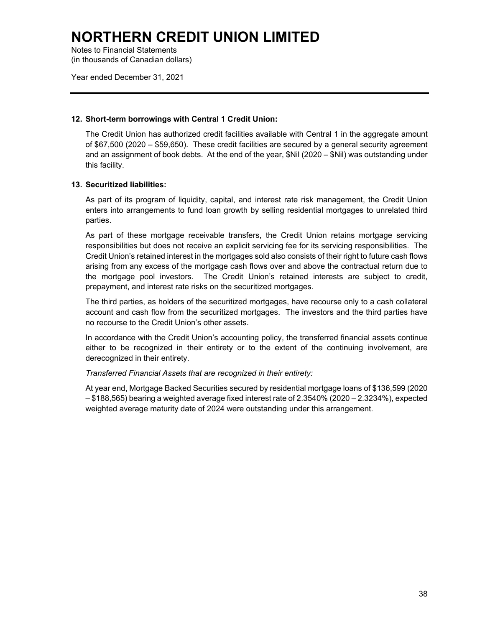Notes to Financial Statements (in thousands of Canadian dollars)

Year ended December 31, 2021

#### **12. Short-term borrowings with Central 1 Credit Union:**

The Credit Union has authorized credit facilities available with Central 1 in the aggregate amount of \$67,500 (2020 – \$59,650). These credit facilities are secured by a general security agreement and an assignment of book debts. At the end of the year, \$Nil (2020 – \$Nil) was outstanding under this facility.

### **13. Securitized liabilities:**

 As part of its program of liquidity, capital, and interest rate risk management, the Credit Union enters into arrangements to fund loan growth by selling residential mortgages to unrelated third parties.

 As part of these mortgage receivable transfers, the Credit Union retains mortgage servicing responsibilities but does not receive an explicit servicing fee for its servicing responsibilities. The Credit Union's retained interest in the mortgages sold also consists of their right to future cash flows arising from any excess of the mortgage cash flows over and above the contractual return due to the mortgage pool investors. The Credit Union's retained interests are subject to credit, prepayment, and interest rate risks on the securitized mortgages.

 The third parties, as holders of the securitized mortgages, have recourse only to a cash collateral account and cash flow from the securitized mortgages. The investors and the third parties have no recourse to the Credit Union's other assets.

In accordance with the Credit Union's accounting policy, the transferred financial assets continue either to be recognized in their entirety or to the extent of the continuing involvement, are derecognized in their entirety.

### *Transferred Financial Assets that are recognized in their entirety:*

At year end, Mortgage Backed Securities secured by residential mortgage loans of \$136,599 (2020 – \$188,565) bearing a weighted average fixed interest rate of 2.3540% (2020 – 2.3234%), expected weighted average maturity date of 2024 were outstanding under this arrangement.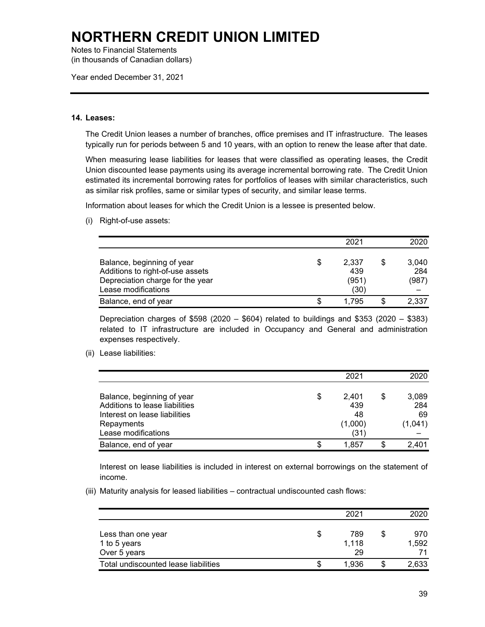Notes to Financial Statements (in thousands of Canadian dollars)

Year ended December 31, 2021

#### **14. Leases:**

The Credit Union leases a number of branches, office premises and IT infrastructure. The leases typically run for periods between 5 and 10 years, with an option to renew the lease after that date.

When measuring lease liabilities for leases that were classified as operating leases, the Credit Union discounted lease payments using its average incremental borrowing rate. The Credit Union estimated its incremental borrowing rates for portfolios of leases with similar characteristics, such as similar risk profiles, same or similar types of security, and similar lease terms.

Information about leases for which the Credit Union is a lessee is presented below.

(i) Right-of-use assets:

|                                                                                                                           | 2021                                |   | 2020                  |
|---------------------------------------------------------------------------------------------------------------------------|-------------------------------------|---|-----------------------|
| Balance, beginning of year<br>Additions to right-of-use assets<br>Depreciation charge for the year<br>Lease modifications | \$<br>2,337<br>439<br>(951)<br>(30) | S | 3,040<br>284<br>(987) |
| Balance, end of year                                                                                                      | 1.795                               |   | 2,337                 |

Depreciation charges of \$598 (2020 – \$604) related to buildings and \$353 (2020 – \$383) related to IT infrastructure are included in Occupancy and General and administration expenses respectively.

(ii) Lease liabilities:

|                                |    | 2021    |   | 2020    |
|--------------------------------|----|---------|---|---------|
| Balance, beginning of year     | \$ | 2,401   | S | 3,089   |
| Additions to lease liabilities |    | 439     |   | 284     |
| Interest on lease liabilities  |    | 48      |   | 69      |
| Repayments                     |    | (1,000) |   | (1,041) |
| Lease modifications            |    | (31)    |   |         |
| Balance, end of year           | S  | 1.857   | S | 2.401   |

Interest on lease liabilities is included in interest on external borrowings on the statement of income.

(iii) Maturity analysis for leased liabilities – contractual undiscounted cash flows:

|                                                    |   | 2021               |   | 2020         |
|----------------------------------------------------|---|--------------------|---|--------------|
| Less than one year<br>1 to 5 years<br>Over 5 years | S | 789<br>1,118<br>29 | S | 970<br>1,592 |
| Total undiscounted lease liabilities               |   | 1.936              |   | 2,633        |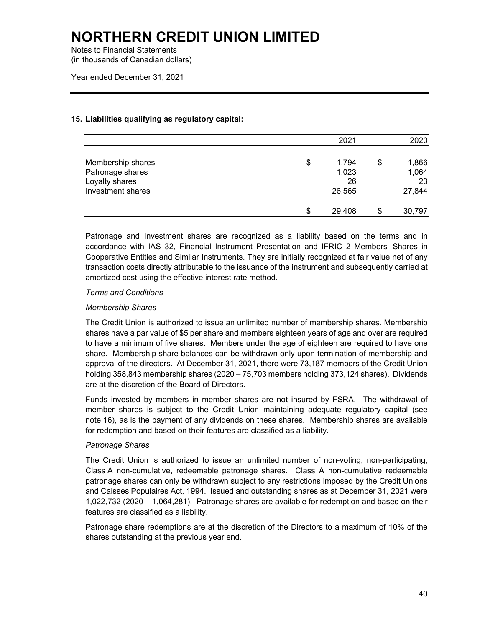Notes to Financial Statements (in thousands of Canadian dollars)

Year ended December 31, 2021

|                                                                              | 2021                                 | 2020                                 |
|------------------------------------------------------------------------------|--------------------------------------|--------------------------------------|
| Membership shares<br>Patronage shares<br>Loyalty shares<br>Investment shares | \$<br>1,794<br>1,023<br>26<br>26,565 | \$<br>1,866<br>1,064<br>23<br>27,844 |
|                                                                              | \$<br>29,408                         | \$<br>30,797                         |

#### **15. Liabilities qualifying as regulatory capital:**

Patronage and Investment shares are recognized as a liability based on the terms and in accordance with IAS 32, Financial Instrument Presentation and IFRIC 2 Members' Shares in Cooperative Entities and Similar Instruments. They are initially recognized at fair value net of any transaction costs directly attributable to the issuance of the instrument and subsequently carried at amortized cost using the effective interest rate method.

### *Terms and Conditions*

### *Membership Shares*

The Credit Union is authorized to issue an unlimited number of membership shares. Membership shares have a par value of \$5 per share and members eighteen years of age and over are required to have a minimum of five shares. Members under the age of eighteen are required to have one share. Membership share balances can be withdrawn only upon termination of membership and approval of the directors. At December 31, 2021, there were 73,187 members of the Credit Union holding 358,843 membership shares (2020 – 75,703 members holding 373,124 shares). Dividends are at the discretion of the Board of Directors.

Funds invested by members in member shares are not insured by FSRA. The withdrawal of member shares is subject to the Credit Union maintaining adequate regulatory capital (see note 16), as is the payment of any dividends on these shares. Membership shares are available for redemption and based on their features are classified as a liability.

#### *Patronage Shares*

The Credit Union is authorized to issue an unlimited number of non-voting, non-participating, Class A non-cumulative, redeemable patronage shares. Class A non-cumulative redeemable patronage shares can only be withdrawn subject to any restrictions imposed by the Credit Unions and Caisses Populaires Act, 1994. Issued and outstanding shares as at December 31, 2021 were 1,022,732 (2020 – 1,064,281). Patronage shares are available for redemption and based on their features are classified as a liability.

Patronage share redemptions are at the discretion of the Directors to a maximum of 10% of the shares outstanding at the previous year end.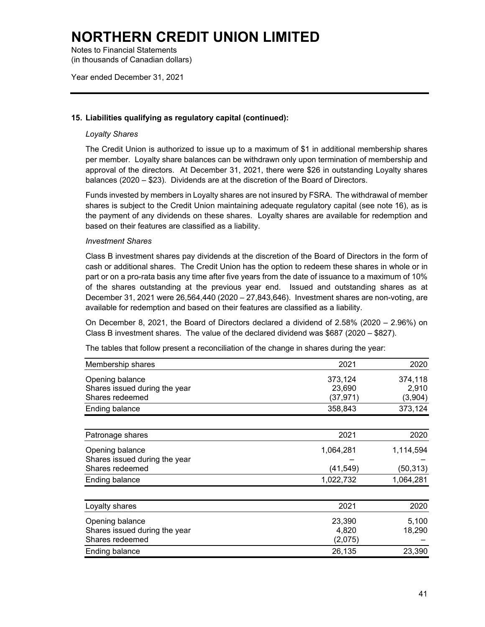Notes to Financial Statements (in thousands of Canadian dollars)

Year ended December 31, 2021

#### **15. Liabilities qualifying as regulatory capital (continued):**

#### *Loyalty Shares*

The Credit Union is authorized to issue up to a maximum of \$1 in additional membership shares per member. Loyalty share balances can be withdrawn only upon termination of membership and approval of the directors. At December 31, 2021, there were \$26 in outstanding Loyalty shares balances (2020 – \$23). Dividends are at the discretion of the Board of Directors.

Funds invested by members in Loyalty shares are not insured by FSRA. The withdrawal of member shares is subject to the Credit Union maintaining adequate regulatory capital (see note 16), as is the payment of any dividends on these shares. Loyalty shares are available for redemption and based on their features are classified as a liability.

#### *Investment Shares*

Class B investment shares pay dividends at the discretion of the Board of Directors in the form of cash or additional shares. The Credit Union has the option to redeem these shares in whole or in part or on a pro-rata basis any time after five years from the date of issuance to a maximum of 10% of the shares outstanding at the previous year end. Issued and outstanding shares as at December 31, 2021 were 26,564,440 (2020 – 27,843,646). Investment shares are non-voting, are available for redemption and based on their features are classified as a liability.

On December 8, 2021, the Board of Directors declared a dividend of 2.58% (2020 – 2.96%) on Class B investment shares. The value of the declared dividend was \$687 (2020 – \$827).

The tables that follow present a reconciliation of the change in shares during the year:

| Membership shares                                                   | 2021                          | 2020                        |
|---------------------------------------------------------------------|-------------------------------|-----------------------------|
| Opening balance<br>Shares issued during the year<br>Shares redeemed | 373,124<br>23,690<br>(37,971) | 374,118<br>2,910<br>(3,904) |
| Ending balance                                                      | 358,843                       | 373,124                     |
| Patronage shares                                                    | 2021                          | 2020                        |
| Opening balance<br>Shares issued during the year<br>Shares redeemed | 1,064,281<br>(41, 549)        | 1,114,594<br>(50, 313)      |
| Ending balance                                                      | 1,022,732                     | 1,064,281                   |
| Loyalty shares                                                      | 2021                          | 2020                        |
| Opening balance<br>Shares issued during the year<br>Shares redeemed | 23,390<br>4,820<br>(2,075)    | 5,100<br>18,290             |
| Ending balance                                                      | 26,135                        | 23,390                      |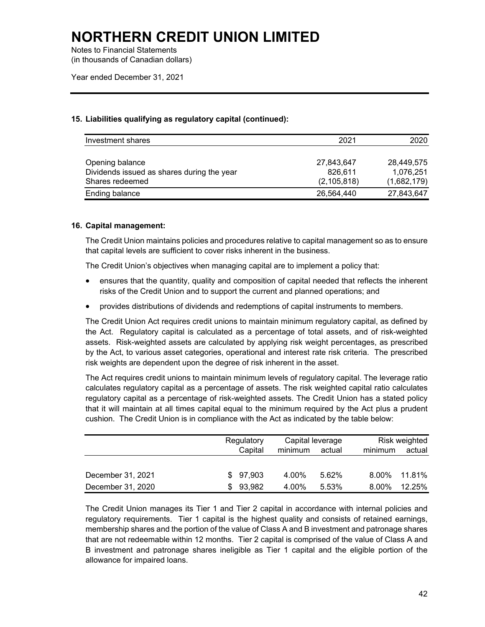Notes to Financial Statements (in thousands of Canadian dollars)

Year ended December 31, 2021

### **15. Liabilities qualifying as regulatory capital (continued):**

| Investment shares                          | 2021          | 2020        |
|--------------------------------------------|---------------|-------------|
|                                            |               |             |
| Opening balance                            | 27,843,647    | 28,449,575  |
| Dividends issued as shares during the year | 826.611       | 1,076,251   |
| Shares redeemed                            | (2, 105, 818) | (1,682,179) |
| Ending balance                             | 26,564,440    | 27,843,647  |

#### **16. Capital management:**

The Credit Union maintains policies and procedures relative to capital management so as to ensure that capital levels are sufficient to cover risks inherent in the business.

The Credit Union's objectives when managing capital are to implement a policy that:

- ensures that the quantity, quality and composition of capital needed that reflects the inherent risks of the Credit Union and to support the current and planned operations; and
- provides distributions of dividends and redemptions of capital instruments to members.

The Credit Union Act requires credit unions to maintain minimum regulatory capital, as defined by the Act. Regulatory capital is calculated as a percentage of total assets, and of risk-weighted assets. Risk-weighted assets are calculated by applying risk weight percentages, as prescribed by the Act, to various asset categories, operational and interest rate risk criteria. The prescribed risk weights are dependent upon the degree of risk inherent in the asset.

The Act requires credit unions to maintain minimum levels of regulatory capital. The leverage ratio calculates regulatory capital as a percentage of assets. The risk weighted capital ratio calculates regulatory capital as a percentage of risk-weighted assets. The Credit Union has a stated policy that it will maintain at all times capital equal to the minimum required by the Act plus a prudent cushion. The Credit Union is in compliance with the Act as indicated by the table below:

|                   | Regulatory | Capital leverage  | Risk weighted     |
|-------------------|------------|-------------------|-------------------|
|                   | Capital    | minimum<br>actual | minimum<br>actual |
|                   |            |                   |                   |
| December 31, 2021 | \$97,903   | 4.00%<br>5.62%    | 11.81%<br>8.00%   |
| December 31, 2020 | 93,982     | 4.00%<br>5.53%    | 12.25%<br>8.00%   |

The Credit Union manages its Tier 1 and Tier 2 capital in accordance with internal policies and regulatory requirements. Tier 1 capital is the highest quality and consists of retained earnings, membership shares and the portion of the value of Class A and B investment and patronage shares that are not redeemable within 12 months. Tier 2 capital is comprised of the value of Class A and B investment and patronage shares ineligible as Tier 1 capital and the eligible portion of the allowance for impaired loans.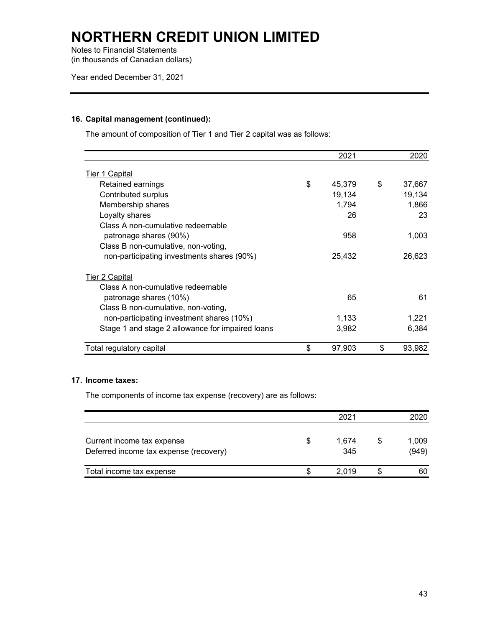Notes to Financial Statements (in thousands of Canadian dollars)

Year ended December 31, 2021

### **16. Capital management (continued):**

The amount of composition of Tier 1 and Tier 2 capital was as follows:

|                                                  | 2021         | 2020         |
|--------------------------------------------------|--------------|--------------|
| <u>Tier 1 Capital</u>                            |              |              |
| Retained earnings                                | \$<br>45,379 | \$<br>37,667 |
| Contributed surplus                              | 19,134       | 19,134       |
| Membership shares                                | 1,794        | 1,866        |
| Loyalty shares                                   | 26           | 23           |
| Class A non-cumulative redeemable                |              |              |
| patronage shares (90%)                           | 958          | 1,003        |
| Class B non-cumulative, non-voting,              |              |              |
| non-participating investments shares (90%)       | 25,432       | 26,623       |
| <b>Tier 2 Capital</b>                            |              |              |
| Class A non-cumulative redeemable                |              |              |
| patronage shares (10%)                           | 65           | 61           |
| Class B non-cumulative, non-voting,              |              |              |
| non-participating investment shares (10%)        | 1,133        | 1,221        |
| Stage 1 and stage 2 allowance for impaired loans | 3,982        | 6,384        |
| Total regulatory capital                         | \$<br>97,903 | \$<br>93,982 |

#### **17. Income taxes:**

The components of income tax expense (recovery) are as follows:

|                                                                      |    | 2021         |   | 2020           |
|----------------------------------------------------------------------|----|--------------|---|----------------|
| Current income tax expense<br>Deferred income tax expense (recovery) | \$ | 1.674<br>345 | S | 1,009<br>(949) |
| Total income tax expense                                             | S  | 2.019        |   | 60             |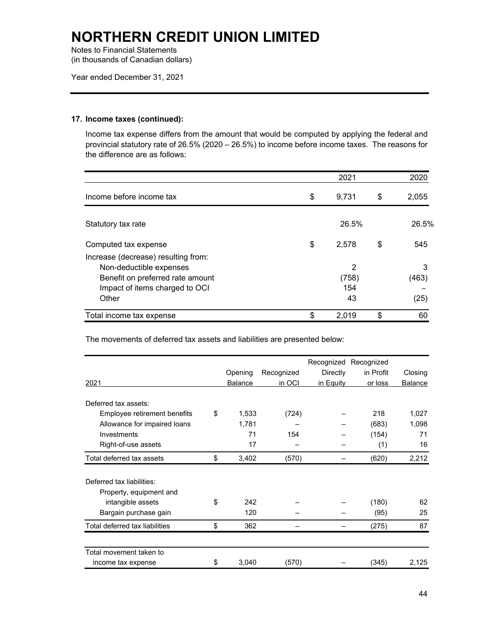Notes to Financial Statements (in thousands of Canadian dollars)

Year ended December 31, 2021

#### **17. Income taxes (continued):**

Income tax expense differs from the amount that would be computed by applying the federal and provincial statutory rate of 26.5% (2020 – 26.5%) to income before income taxes. The reasons for the difference are as follows:

|                                     | 2021        | 2020        |
|-------------------------------------|-------------|-------------|
| Income before income tax            | \$<br>9.731 | \$<br>2,055 |
| Statutory tax rate                  | 26.5%       | 26.5%       |
| Computed tax expense                | \$<br>2,578 | \$<br>545   |
| Increase (decrease) resulting from: |             |             |
| Non-deductible expenses             | 2           | 3           |
| Benefit on preferred rate amount    | (758)       | (463)       |
| Impact of items charged to OCI      | 154         |             |
| Other                               | 43          | (25)        |
| Total income tax expense            | \$<br>2,019 | \$<br>60    |

The movements of deferred tax assets and liabilities are presented below:

|                                |                |            |                  | Recognized Recognized |                |
|--------------------------------|----------------|------------|------------------|-----------------------|----------------|
|                                | Opening        | Recognized | Directly         | in Profit             | Closing        |
| 2021                           | <b>Balance</b> | in OCI     | <u>in Equity</u> | or loss               | <b>Balance</b> |
|                                |                |            |                  |                       |                |
| Deferred tax assets:           |                |            |                  |                       |                |
| Employee retirement benefits   | \$<br>1,533    | (724)      |                  | 218                   | 1,027          |
| Allowance for impaired loans   | 1,781          |            |                  | (683)                 | 1,098          |
| Investments                    | 71             | 154        |                  | (154)                 | 71             |
| Right-of-use assets            | 17             |            |                  | (1)                   | 16             |
| Total deferred tax assets      | \$<br>3,402    | (570)      |                  | (620)                 | 2,212          |
| Deferred tax liabilities:      |                |            |                  |                       |                |
| Property, equipment and        |                |            |                  |                       |                |
| intangible assets              | \$<br>242      |            |                  | (180)                 | 62             |
| Bargain purchase gain          | 120            |            |                  | (95)                  | 25             |
| Total deferred tax liabilities | \$<br>362      |            |                  | (275)                 | 87             |
|                                |                |            |                  |                       |                |
| Total movement taken to        |                |            |                  |                       |                |
| income tax expense             | \$<br>3,040    | (570)      |                  | (345)                 | 2,125          |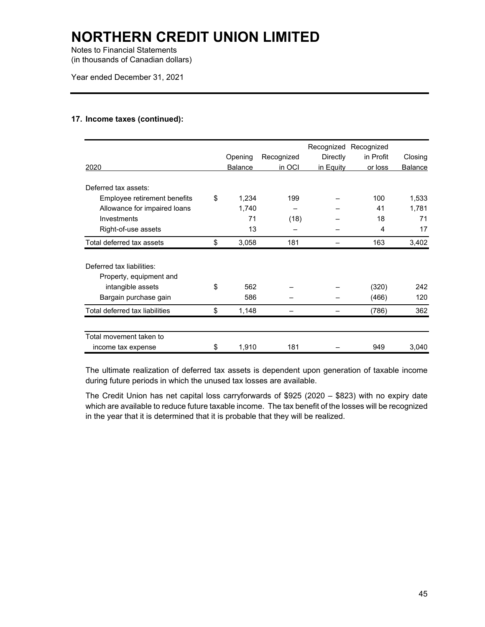Notes to Financial Statements (in thousands of Canadian dollars)

Year ended December 31, 2021

#### **17. Income taxes (continued):**

|                                |             |            |           | Recognized Recognized |                |
|--------------------------------|-------------|------------|-----------|-----------------------|----------------|
|                                | Opening     | Recognized | Directly  | in Profit             | Closing        |
| 2020                           | Balance     | in OCI     | in Equity | or loss               | <b>Balance</b> |
|                                |             |            |           |                       |                |
| Deferred tax assets:           |             |            |           |                       |                |
| Employee retirement benefits   | \$<br>1,234 | 199        |           | 100                   | 1,533          |
| Allowance for impaired loans   | 1,740       |            |           | 41                    | 1,781          |
| Investments                    | 71          | (18)       |           | 18                    | 71             |
| Right-of-use assets            | 13          |            |           | 4                     | 17             |
| Total deferred tax assets      | \$<br>3,058 | 181        |           | 163                   | 3,402          |
|                                |             |            |           |                       |                |
| Deferred tax liabilities:      |             |            |           |                       |                |
| Property, equipment and        |             |            |           |                       |                |
| intangible assets              | \$<br>562   |            |           | (320)                 | 242            |
| Bargain purchase gain          | 586         |            |           | (466)                 | 120            |
| Total deferred tax liabilities | \$<br>1,148 |            |           | (786)                 | 362            |
|                                |             |            |           |                       |                |
| Total movement taken to        |             |            |           |                       |                |
| income tax expense             | \$<br>1,910 | 181        |           | 949                   | 3,040          |

The ultimate realization of deferred tax assets is dependent upon generation of taxable income during future periods in which the unused tax losses are available.

The Credit Union has net capital loss carryforwards of \$925 (2020 – \$823) with no expiry date which are available to reduce future taxable income. The tax benefit of the losses will be recognized in the year that it is determined that it is probable that they will be realized.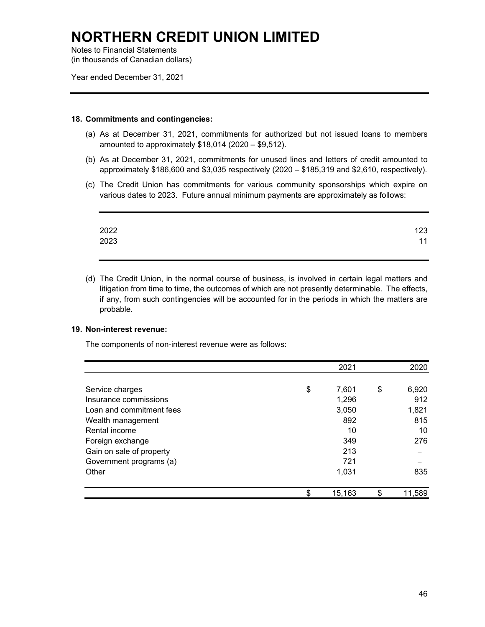Notes to Financial Statements (in thousands of Canadian dollars)

Year ended December 31, 2021

#### **18. Commitments and contingencies:**

- (a) As at December 31, 2021, commitments for authorized but not issued loans to members amounted to approximately \$18,014 (2020 – \$9,512).
- (b) As at December 31, 2021, commitments for unused lines and letters of credit amounted to approximately \$186,600 and \$3,035 respectively (2020 – \$185,319 and \$2,610, respectively).
- (c) The Credit Union has commitments for various community sponsorships which expire on various dates to 2023. Future annual minimum payments are approximately as follows:

| 2022 | 123 |
|------|-----|
| 2023 | 11  |
|      |     |

(d) The Credit Union, in the normal course of business, is involved in certain legal matters and litigation from time to time, the outcomes of which are not presently determinable. The effects, if any, from such contingencies will be accounted for in the periods in which the matters are probable.

#### **19. Non-interest revenue:**

The components of non-interest revenue were as follows:

|                          | 2021         | 2020         |
|--------------------------|--------------|--------------|
|                          |              |              |
| Service charges          | \$<br>7,601  | \$<br>6,920  |
| Insurance commissions    | 1,296        | 912          |
| Loan and commitment fees | 3,050        | 1,821        |
| Wealth management        | 892          | 815          |
| Rental income            | 10           | 10           |
| Foreign exchange         | 349          | 276          |
| Gain on sale of property | 213          |              |
| Government programs (a)  | 721          |              |
| Other                    | 1,031        | 835          |
|                          | \$<br>15,163 | \$<br>11,589 |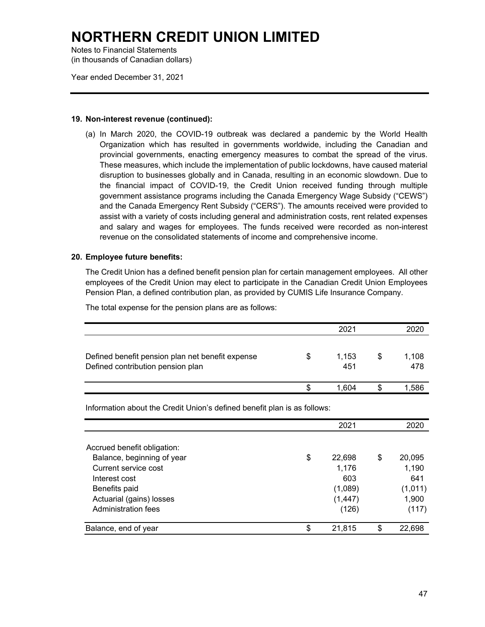Notes to Financial Statements (in thousands of Canadian dollars)

Year ended December 31, 2021

#### **19. Non-interest revenue (continued):**

(a) In March 2020, the COVID-19 outbreak was declared a pandemic by the World Health Organization which has resulted in governments worldwide, including the Canadian and provincial governments, enacting emergency measures to combat the spread of the virus. These measures, which include the implementation of public lockdowns, have caused material disruption to businesses globally and in Canada, resulting in an economic slowdown. Due to the financial impact of COVID-19, the Credit Union received funding through multiple government assistance programs including the Canada Emergency Wage Subsidy ("CEWS") and the Canada Emergency Rent Subsidy ("CERS"). The amounts received were provided to assist with a variety of costs including general and administration costs, rent related expenses and salary and wages for employees. The funds received were recorded as non-interest revenue on the consolidated statements of income and comprehensive income.

#### **20. Employee future benefits:**

The Credit Union has a defined benefit pension plan for certain management employees. All other employees of the Credit Union may elect to participate in the Canadian Credit Union Employees Pension Plan, a defined contribution plan, as provided by CUMIS Life Insurance Company.

|                                                                                       |     | 2021         | 2020               |
|---------------------------------------------------------------------------------------|-----|--------------|--------------------|
| Defined benefit pension plan net benefit expense<br>Defined contribution pension plan | \$. | 1.153<br>451 | \$<br>1,108<br>478 |
|                                                                                       |     | 1.604        | .586               |

The total expense for the pension plans are as follows:

Information about the Credit Union's defined benefit plan is as follows:

|                             | 2021         | 2020         |
|-----------------------------|--------------|--------------|
|                             |              |              |
| Accrued benefit obligation: |              |              |
| Balance, beginning of year  | \$<br>22,698 | \$<br>20,095 |
| Current service cost        | 1,176        | 1,190        |
| Interest cost               | 603          | 641          |
| Benefits paid               | (1,089)      | (1,011)      |
| Actuarial (gains) losses    | (1, 447)     | 1,900        |
| Administration fees         | (126)        | (117)        |
| Balance, end of year        | \$<br>21,815 | \$<br>22,698 |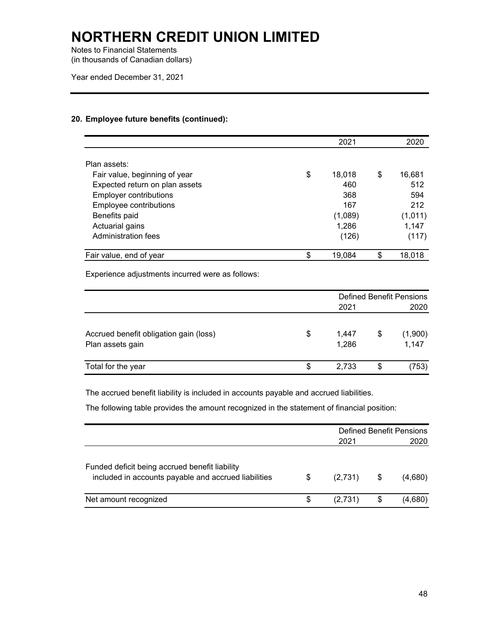Notes to Financial Statements (in thousands of Canadian dollars)

Year ended December 31, 2021

#### **20. Employee future benefits (continued):**

|                                | 2021         | 2020         |
|--------------------------------|--------------|--------------|
|                                |              |              |
| Plan assets:                   |              |              |
| Fair value, beginning of year  | \$<br>18,018 | \$<br>16,681 |
| Expected return on plan assets | 460          | 512          |
| <b>Employer contributions</b>  | 368          | 594          |
| Employee contributions         | 167          | 212          |
| Benefits paid                  | (1,089)      | (1,011)      |
| Actuarial gains                | 1,286        | 1,147        |
| <b>Administration fees</b>     | (126)        | (117)        |
| Fair value, end of year        | \$<br>19,084 | \$<br>18.018 |

Experience adjustments incurred were as follows:

|                                        |    |       | <b>Defined Benefit Pensions</b> |         |  |  |  |
|----------------------------------------|----|-------|---------------------------------|---------|--|--|--|
|                                        |    | 2021  |                                 | 2020    |  |  |  |
| Accrued benefit obligation gain (loss) | \$ | 1,447 | \$                              | (1,900) |  |  |  |
| Plan assets gain                       |    | 1,286 |                                 | 1,147   |  |  |  |
| Total for the year                     | S  | 2,733 | \$                              | (753)   |  |  |  |

The accrued benefit liability is included in accounts payable and accrued liabilities.

The following table provides the amount recognized in the statement of financial position:

|                                                                                                        |     |         | <b>Defined Benefit Pensions</b> |         |  |  |
|--------------------------------------------------------------------------------------------------------|-----|---------|---------------------------------|---------|--|--|
|                                                                                                        |     | 2021    |                                 | 2020    |  |  |
| Funded deficit being accrued benefit liability<br>included in accounts payable and accrued liabilities | \$. | (2,731) | S                               | (4,680) |  |  |
| Net amount recognized                                                                                  | S   | (2.731) | S                               | (4,680) |  |  |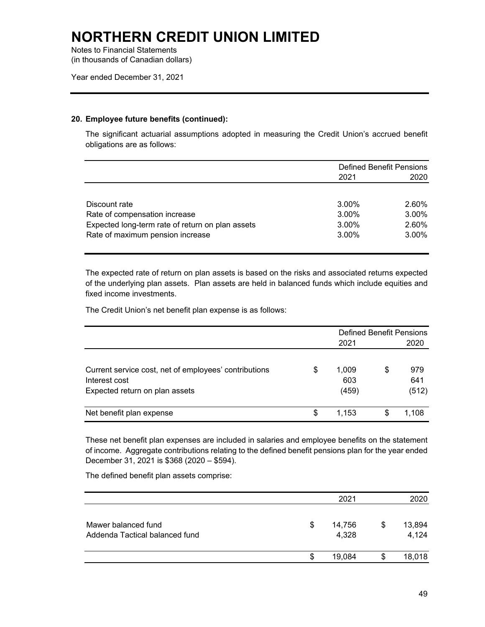Notes to Financial Statements (in thousands of Canadian dollars)

Year ended December 31, 2021

#### **20. Employee future benefits (continued):**

The significant actuarial assumptions adopted in measuring the Credit Union's accrued benefit obligations are as follows:

|                                                  |       | <b>Defined Benefit Pensions</b> |
|--------------------------------------------------|-------|---------------------------------|
|                                                  | 2021  | 2020                            |
|                                                  |       |                                 |
| Discount rate                                    | 3.00% | 2.60%                           |
| Rate of compensation increase                    | 3.00% | 3.00%                           |
| Expected long-term rate of return on plan assets | 3.00% | 2.60%                           |
| Rate of maximum pension increase                 | 3.00% | 3.00%                           |

The expected rate of return on plan assets is based on the risks and associated returns expected of the underlying plan assets. Plan assets are held in balanced funds which include equities and fixed income investments.

The Credit Union's net benefit plan expense is as follows:

|                                                                                                          | 2021                        | Defined Benefit Pensions<br>2020 |  |  |
|----------------------------------------------------------------------------------------------------------|-----------------------------|----------------------------------|--|--|
| Current service cost, net of employees' contributions<br>Interest cost<br>Expected return on plan assets | \$<br>1,009<br>603<br>(459) | \$<br>979<br>641<br>(512)        |  |  |
| Net benefit plan expense                                                                                 | \$<br>1.153                 | 1.108                            |  |  |

These net benefit plan expenses are included in salaries and employee benefits on the statement of income. Aggregate contributions relating to the defined benefit pensions plan for the year ended December 31, 2021 is \$368 (2020 – \$594).

The defined benefit plan assets comprise:

|                                                       |     | 2021            |    | 2020            |
|-------------------------------------------------------|-----|-----------------|----|-----------------|
| Mawer balanced fund<br>Addenda Tactical balanced fund | \$  | 14,756<br>4,328 | S  | 13,894<br>4,124 |
|                                                       | \$. | 19,084          | \$ | 18,018          |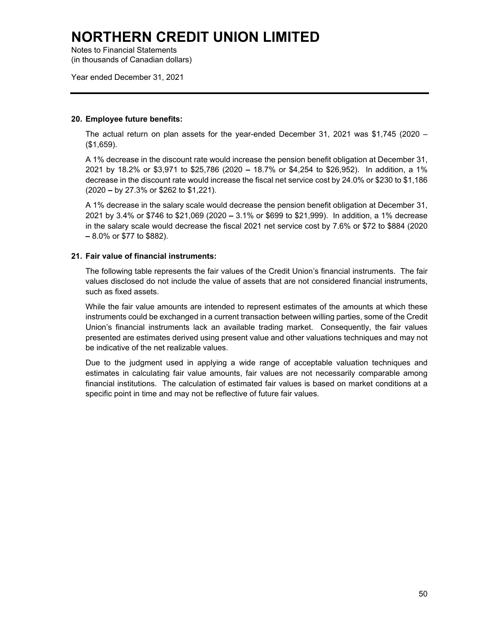Notes to Financial Statements (in thousands of Canadian dollars)

Year ended December 31, 2021

#### **20. Employee future benefits:**

The actual return on plan assets for the year-ended December 31, 2021 was \$1,745 (2020 – (\$1,659).

A 1% decrease in the discount rate would increase the pension benefit obligation at December 31, 2021 by 18.2% or \$3,971 to \$25,786 (2020 **–** 18.7% or \$4,254 to \$26,952). In addition, a 1% decrease in the discount rate would increase the fiscal net service cost by 24.0% or \$230 to \$1,186 (2020 **–** by 27.3% or \$262 to \$1,221).

A 1% decrease in the salary scale would decrease the pension benefit obligation at December 31, 2021 by 3.4% or \$746 to \$21,069 (2020 **–** 3.1% or \$699 to \$21,999). In addition, a 1% decrease in the salary scale would decrease the fiscal 2021 net service cost by 7.6% or \$72 to \$884 (2020 **–** 8.0% or \$77 to \$882).

### **21. Fair value of financial instruments:**

The following table represents the fair values of the Credit Union's financial instruments. The fair values disclosed do not include the value of assets that are not considered financial instruments, such as fixed assets.

While the fair value amounts are intended to represent estimates of the amounts at which these instruments could be exchanged in a current transaction between willing parties, some of the Credit Union's financial instruments lack an available trading market. Consequently, the fair values presented are estimates derived using present value and other valuations techniques and may not be indicative of the net realizable values.

Due to the judgment used in applying a wide range of acceptable valuation techniques and estimates in calculating fair value amounts, fair values are not necessarily comparable among financial institutions. The calculation of estimated fair values is based on market conditions at a specific point in time and may not be reflective of future fair values.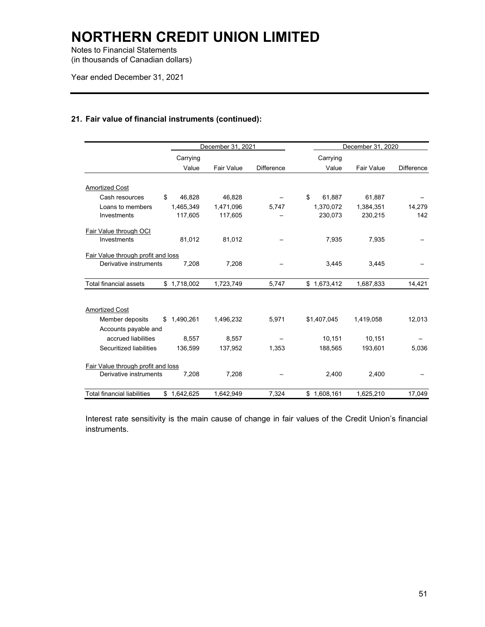Notes to Financial Statements (in thousands of Canadian dollars)

Year ended December 31, 2021

### **21. Fair value of financial instruments (continued):**

|                                    |                 | December 31, 2021 |                   |                 | December 31, 2020 |                   |
|------------------------------------|-----------------|-------------------|-------------------|-----------------|-------------------|-------------------|
|                                    | Carrying        |                   |                   | Carrying        |                   |                   |
|                                    | Value           | <b>Fair Value</b> | <b>Difference</b> | Value           | <b>Fair Value</b> | <b>Difference</b> |
|                                    |                 |                   |                   |                 |                   |                   |
| <b>Amortized Cost</b>              |                 |                   |                   |                 |                   |                   |
| Cash resources                     | \$<br>46,828    | 46,828            |                   | \$<br>61,887    | 61,887            |                   |
| Loans to members                   | 1,465,349       | 1,471,096         | 5,747             | 1,370,072       | 1,384,351         | 14,279            |
| Investments                        | 117,605         | 117,605           |                   | 230,073         | 230,215           | 142               |
| Fair Value through OCI             |                 |                   |                   |                 |                   |                   |
| Investments                        | 81,012          | 81,012            |                   | 7,935           | 7,935             |                   |
| Fair Value through profit and loss |                 |                   |                   |                 |                   |                   |
| Derivative instruments             | 7,208           | 7,208             |                   | 3,445           | 3,445             |                   |
| <b>Total financial assets</b>      | \$1,718,002     | 1,723,749         | 5,747             | \$1,673,412     | 1,687,833         | 14,421            |
| <b>Amortized Cost</b>              |                 |                   |                   |                 |                   |                   |
| Member deposits                    | 1,490,261<br>\$ | 1,496,232         | 5,971             | \$1,407,045     | 1,419,058         | 12,013            |
| Accounts payable and               |                 |                   |                   |                 |                   |                   |
| accrued liabilities                | 8,557           | 8,557             |                   | 10,151          | 10,151            |                   |
| Securitized liabilities            | 136,599         | 137,952           | 1,353             | 188,565         | 193,601           | 5,036             |
| Fair Value through profit and loss |                 |                   |                   |                 |                   |                   |
| Derivative instruments             | 7,208           | 7,208             |                   | 2,400           | 2,400             |                   |
| <b>Total financial liabilities</b> | 1,642,625<br>\$ | 1,642,949         | 7,324             | \$<br>1,608,161 | 1,625,210         | 17,049            |

Interest rate sensitivity is the main cause of change in fair values of the Credit Union's financial instruments.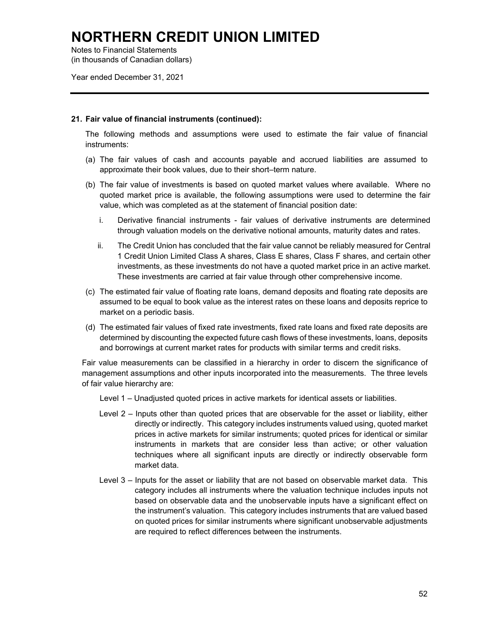Notes to Financial Statements (in thousands of Canadian dollars)

Year ended December 31, 2021

#### **21. Fair value of financial instruments (continued):**

The following methods and assumptions were used to estimate the fair value of financial instruments:

- (a) The fair values of cash and accounts payable and accrued liabilities are assumed to approximate their book values, due to their short–term nature.
- (b) The fair value of investments is based on quoted market values where available. Where no quoted market price is available, the following assumptions were used to determine the fair value, which was completed as at the statement of financial position date:
	- i. Derivative financial instruments fair values of derivative instruments are determined through valuation models on the derivative notional amounts, maturity dates and rates.
	- ii. The Credit Union has concluded that the fair value cannot be reliably measured for Central 1 Credit Union Limited Class A shares, Class E shares, Class F shares, and certain other investments, as these investments do not have a quoted market price in an active market. These investments are carried at fair value through other comprehensive income.
- (c) The estimated fair value of floating rate loans, demand deposits and floating rate deposits are assumed to be equal to book value as the interest rates on these loans and deposits reprice to market on a periodic basis.
- (d) The estimated fair values of fixed rate investments, fixed rate loans and fixed rate deposits are determined by discounting the expected future cash flows of these investments, loans, deposits and borrowings at current market rates for products with similar terms and credit risks.

Fair value measurements can be classified in a hierarchy in order to discern the significance of management assumptions and other inputs incorporated into the measurements. The three levels of fair value hierarchy are:

Level 1 – Unadjusted quoted prices in active markets for identical assets or liabilities.

- Level 2 Inputs other than quoted prices that are observable for the asset or liability, either directly or indirectly. This category includes instruments valued using, quoted market prices in active markets for similar instruments; quoted prices for identical or similar instruments in markets that are consider less than active; or other valuation techniques where all significant inputs are directly or indirectly observable form market data.
- Level 3 Inputs for the asset or liability that are not based on observable market data. This category includes all instruments where the valuation technique includes inputs not based on observable data and the unobservable inputs have a significant effect on the instrument's valuation. This category includes instruments that are valued based on quoted prices for similar instruments where significant unobservable adjustments are required to reflect differences between the instruments.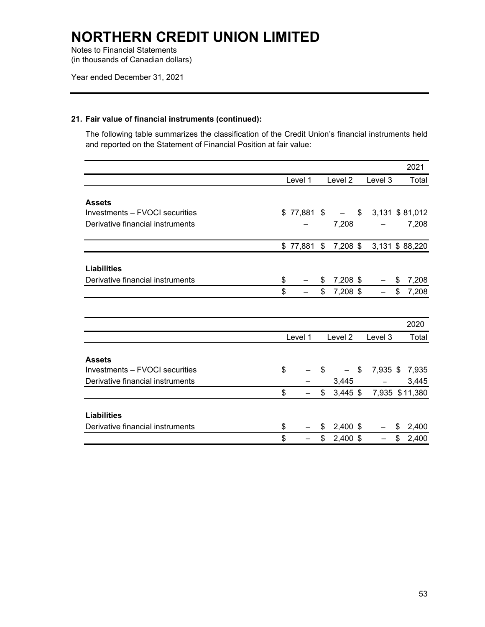Notes to Financial Statements (in thousands of Canadian dollars)

Year ended December 31, 2021

### **21. Fair value of financial instruments (continued):**

The following table summarizes the classification of the Credit Union's financial instruments held and reported on the Statement of Financial Position at fair value:

|                                  |         |               |               |                                    |               | 2021    |
|----------------------------------|---------|---------------|---------------|------------------------------------|---------------|---------|
|                                  | Level 1 |               |               | Level 2 Level 3                    |               | Total   |
| <b>Assets</b>                    |         |               |               |                                    |               |         |
| Investments - FVOCI securities   |         |               |               | $$77,881$ \$ - \$ 3,131 \$81,012   |               |         |
| Derivative financial instruments |         |               | 7,208         |                                    |               | 7,208   |
|                                  |         |               |               | $$77,881$ \$7,208 \$3,131 \$88,220 |               |         |
| <b>Liabilities</b>               |         |               |               |                                    |               |         |
| Derivative financial instruments | \$      | \$            | 7,208 \$      |                                    |               | \$7,208 |
|                                  | \$      | \$            | 7,208 \$      |                                    | $\frac{1}{2}$ | 7,208   |
|                                  |         |               |               |                                    |               |         |
|                                  |         |               |               |                                    |               | 2020    |
|                                  | Level 1 |               | Level 2       | Level 3                            |               | Total   |
| <b>Assets</b>                    |         |               |               |                                    |               |         |
| Investments - FVOCI securities   | \$      |               | $\mathsf{\$}$ | $-$ \$ 7,935 \$ 7,935              |               |         |
| Derivative financial instruments |         |               | 3,445         | $\frac{1}{2}$ and $\frac{1}{2}$    |               | 3,445   |
|                                  | \$      | \$            |               | 3,445 \$7,935 \$11,380             |               |         |
| <b>Liabilities</b>               |         |               |               |                                    |               |         |
| Derivative financial instruments | \$      |               | $$2,400$ \$   |                                    |               | \$2,400 |
|                                  | \$      | $\frac{1}{2}$ | $2,400$ \$    |                                    |               | \$2,400 |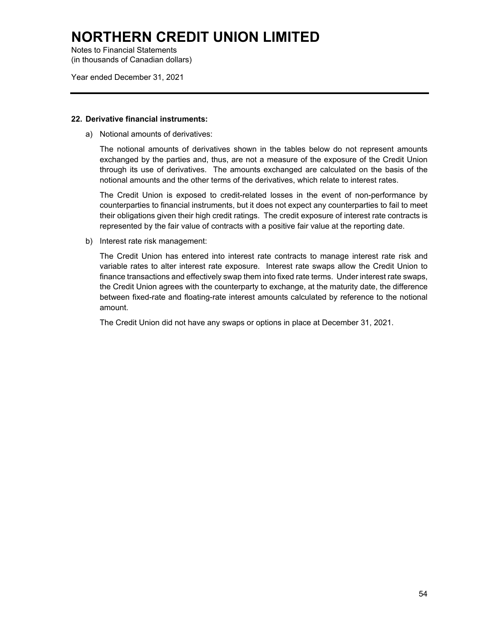Notes to Financial Statements (in thousands of Canadian dollars)

Year ended December 31, 2021

#### **22. Derivative financial instruments:**

a) Notional amounts of derivatives:

The notional amounts of derivatives shown in the tables below do not represent amounts exchanged by the parties and, thus, are not a measure of the exposure of the Credit Union through its use of derivatives. The amounts exchanged are calculated on the basis of the notional amounts and the other terms of the derivatives, which relate to interest rates.

The Credit Union is exposed to credit-related losses in the event of non-performance by counterparties to financial instruments, but it does not expect any counterparties to fail to meet their obligations given their high credit ratings. The credit exposure of interest rate contracts is represented by the fair value of contracts with a positive fair value at the reporting date.

b) Interest rate risk management:

The Credit Union has entered into interest rate contracts to manage interest rate risk and variable rates to alter interest rate exposure. Interest rate swaps allow the Credit Union to finance transactions and effectively swap them into fixed rate terms. Under interest rate swaps, the Credit Union agrees with the counterparty to exchange, at the maturity date, the difference between fixed-rate and floating-rate interest amounts calculated by reference to the notional amount.

The Credit Union did not have any swaps or options in place at December 31, 2021.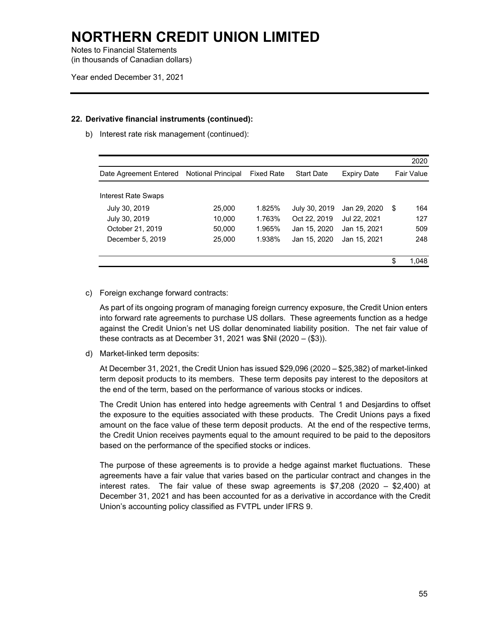Notes to Financial Statements (in thousands of Canadian dollars)

Year ended December 31, 2021

#### **22. Derivative financial instruments (continued):**

b) Interest rate risk management (continued):

|                        |                           |                   |                   |                    | 2020        |
|------------------------|---------------------------|-------------------|-------------------|--------------------|-------------|
| Date Agreement Entered | <b>Notional Principal</b> | <b>Fixed Rate</b> | <b>Start Date</b> | <b>Expiry Date</b> | Fair Value  |
| Interest Rate Swaps    |                           |                   |                   |                    |             |
| July 30, 2019          | 25,000                    | 1.825%            | July 30, 2019     | Jan 29, 2020       | \$<br>164   |
| July 30, 2019          | 10,000                    | 1.763%            | Oct 22, 2019      | Jul 22, 2021       | 127         |
| October 21, 2019       | 50,000                    | 1.965%            | Jan 15, 2020      | Jan 15, 2021       | 509         |
| December 5, 2019       | 25,000                    | 1.938%            | Jan 15, 2020      | Jan 15, 2021       | 248         |
|                        |                           |                   |                   |                    | \$<br>1,048 |

### c) Foreign exchange forward contracts:

 As part of its ongoing program of managing foreign currency exposure, the Credit Union enters into forward rate agreements to purchase US dollars. These agreements function as a hedge against the Credit Union's net US dollar denominated liability position. The net fair value of these contracts as at December 31, 2021 was \$Nil (2020 – (\$3)).

d) Market-linked term deposits:

 At December 31, 2021, the Credit Union has issued \$29,096 (2020 – \$25,382) of market-linked term deposit products to its members. These term deposits pay interest to the depositors at the end of the term, based on the performance of various stocks or indices.

The Credit Union has entered into hedge agreements with Central 1 and Desjardins to offset the exposure to the equities associated with these products. The Credit Unions pays a fixed amount on the face value of these term deposit products. At the end of the respective terms, the Credit Union receives payments equal to the amount required to be paid to the depositors based on the performance of the specified stocks or indices.

The purpose of these agreements is to provide a hedge against market fluctuations. These agreements have a fair value that varies based on the particular contract and changes in the interest rates. The fair value of these swap agreements is \$7,208 (2020 – \$2,400) at December 31, 2021 and has been accounted for as a derivative in accordance with the Credit Union's accounting policy classified as FVTPL under IFRS 9.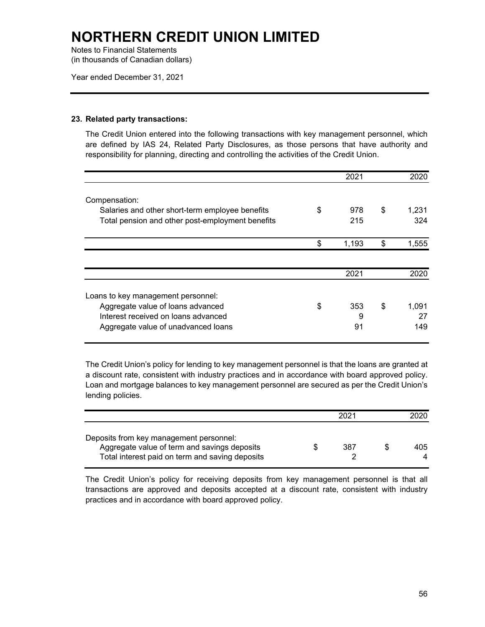Notes to Financial Statements (in thousands of Canadian dollars)

Year ended December 31, 2021

#### **23. Related party transactions:**

The Credit Union entered into the following transactions with key management personnel, which are defined by IAS 24, Related Party Disclosures, as those persons that have authority and responsibility for planning, directing and controlling the activities of the Credit Union.

|                                                  | 2021        | 2020        |
|--------------------------------------------------|-------------|-------------|
| Compensation:                                    |             |             |
| Salaries and other short-term employee benefits  | \$<br>978   | \$<br>1,231 |
| Total pension and other post-employment benefits | 215         | 324         |
|                                                  | \$<br>1,193 | \$<br>1,555 |
|                                                  |             |             |
|                                                  | 2021        | 2020        |
| Loans to key management personnel:               |             |             |
| Aggregate value of loans advanced                | \$<br>353   | \$<br>1,091 |
| Interest received on loans advanced              | 9           | 27          |
| Aggregate value of unadvanced loans              | 91          | 149         |

The Credit Union's policy for lending to key management personnel is that the loans are granted at a discount rate, consistent with industry practices and in accordance with board approved policy. Loan and mortgage balances to key management personnel are secured as per the Credit Union's lending policies.

|                                                                                                                                            | 2021 | 2020 |
|--------------------------------------------------------------------------------------------------------------------------------------------|------|------|
| Deposits from key management personnel:<br>Aggregate value of term and savings deposits<br>Total interest paid on term and saving deposits | 387  | 405. |

 The Credit Union's policy for receiving deposits from key management personnel is that all transactions are approved and deposits accepted at a discount rate, consistent with industry practices and in accordance with board approved policy.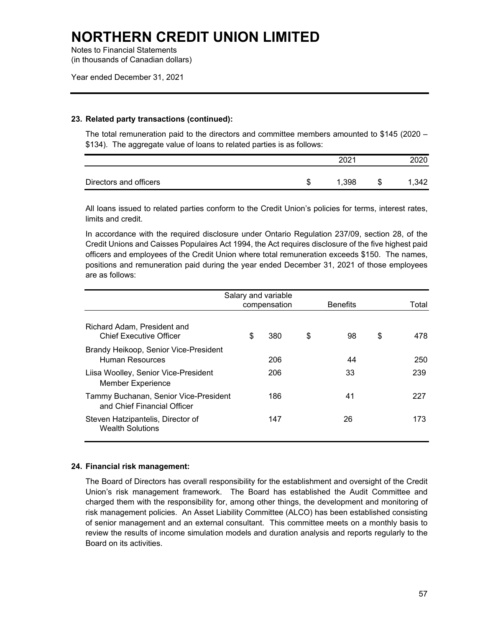Notes to Financial Statements (in thousands of Canadian dollars)

Year ended December 31, 2021

#### **23. Related party transactions (continued):**

The total remuneration paid to the directors and committee members amounted to \$145 (2020 – \$134). The aggregate value of loans to related parties is as follows:

|        | 2021  |   | 2020  |
|--------|-------|---|-------|
| ጦ<br>ง | 1.398 | Œ | 1.342 |
|        |       |   |       |

All loans issued to related parties conform to the Credit Union's policies for terms, interest rates, limits and credit.

 In accordance with the required disclosure under Ontario Regulation 237/09, section 28, of the Credit Unions and Caisses Populaires Act 1994, the Act requires disclosure of the five highest paid officers and employees of the Credit Union where total remuneration exceeds \$150. The names, positions and remuneration paid during the year ended December 31, 2021 of those employees are as follows:

|                                                                      | Salary and variable |              |    |                 |       |      |  |
|----------------------------------------------------------------------|---------------------|--------------|----|-----------------|-------|------|--|
|                                                                      |                     | compensation |    | <b>Benefits</b> | Total |      |  |
| Richard Adam, President and<br><b>Chief Executive Officer</b>        | \$                  | 380          | \$ | 98              | \$    | 478. |  |
| Brandy Heikoop, Senior Vice-President<br>Human Resources             |                     | 206          |    | 44              |       | 250  |  |
| Liisa Woolley, Senior Vice-President<br><b>Member Experience</b>     |                     | 206          |    | 33              |       | 239  |  |
| Tammy Buchanan, Senior Vice-President<br>and Chief Financial Officer |                     | 186          |    | 41              |       | 227  |  |
| Steven Hatzipantelis, Director of<br><b>Wealth Solutions</b>         |                     | 147          |    | 26              |       | 173  |  |

### **24. Financial risk management:**

The Board of Directors has overall responsibility for the establishment and oversight of the Credit Union's risk management framework. The Board has established the Audit Committee and charged them with the responsibility for, among other things, the development and monitoring of risk management policies. An Asset Liability Committee (ALCO) has been established consisting of senior management and an external consultant. This committee meets on a monthly basis to review the results of income simulation models and duration analysis and reports regularly to the Board on its activities.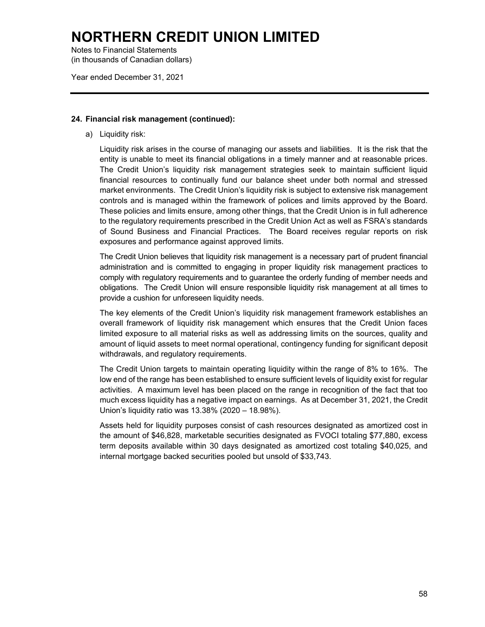Notes to Financial Statements (in thousands of Canadian dollars)

Year ended December 31, 2021

#### **24. Financial risk management (continued):**

a) Liquidity risk:

Liquidity risk arises in the course of managing our assets and liabilities. It is the risk that the entity is unable to meet its financial obligations in a timely manner and at reasonable prices. The Credit Union's liquidity risk management strategies seek to maintain sufficient liquid financial resources to continually fund our balance sheet under both normal and stressed market environments. The Credit Union's liquidity risk is subject to extensive risk management controls and is managed within the framework of polices and limits approved by the Board. These policies and limits ensure, among other things, that the Credit Union is in full adherence to the regulatory requirements prescribed in the Credit Union Act as well as FSRA's standards of Sound Business and Financial Practices. The Board receives regular reports on risk exposures and performance against approved limits.

The Credit Union believes that liquidity risk management is a necessary part of prudent financial administration and is committed to engaging in proper liquidity risk management practices to comply with regulatory requirements and to guarantee the orderly funding of member needs and obligations. The Credit Union will ensure responsible liquidity risk management at all times to provide a cushion for unforeseen liquidity needs.

The key elements of the Credit Union's liquidity risk management framework establishes an overall framework of liquidity risk management which ensures that the Credit Union faces limited exposure to all material risks as well as addressing limits on the sources, quality and amount of liquid assets to meet normal operational, contingency funding for significant deposit withdrawals, and regulatory requirements.

The Credit Union targets to maintain operating liquidity within the range of 8% to 16%. The low end of the range has been established to ensure sufficient levels of liquidity exist for regular activities. A maximum level has been placed on the range in recognition of the fact that too much excess liquidity has a negative impact on earnings. As at December 31, 2021, the Credit Union's liquidity ratio was 13.38% (2020 – 18.98%).

Assets held for liquidity purposes consist of cash resources designated as amortized cost in the amount of \$46,828, marketable securities designated as FVOCI totaling \$77,880, excess term deposits available within 30 days designated as amortized cost totaling \$40,025, and internal mortgage backed securities pooled but unsold of \$33,743.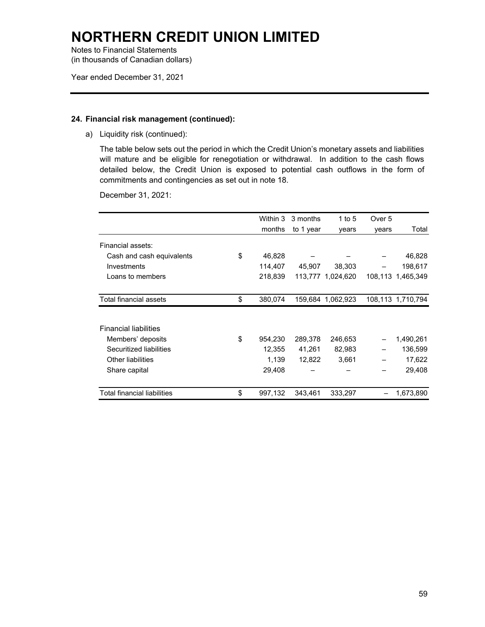Notes to Financial Statements (in thousands of Canadian dollars)

Year ended December 31, 2021

#### **24. Financial risk management (continued):**

a) Liquidity risk (continued):

The table below sets out the period in which the Credit Union's monetary assets and liabilities will mature and be eligible for renegotiation or withdrawal. In addition to the cash flows detailed below, the Credit Union is exposed to potential cash outflows in the form of commitments and contingencies as set out in note 18.

December 31, 2021:

|                                    | Within 3      | 3 months  | 1 to 5            | Over 5 |                   |
|------------------------------------|---------------|-----------|-------------------|--------|-------------------|
|                                    | months        | to 1 year | years             | years  | Total             |
| Financial assets:                  |               |           |                   |        |                   |
| Cash and cash equivalents          | \$<br>46,828  |           |                   |        | 46,828            |
| Investments                        | 114.407       | 45,907    | 38,303            |        | 198,617           |
| Loans to members                   | 218,839       |           | 113,777 1,024,620 |        | 108,113 1,465,349 |
|                                    |               |           |                   |        |                   |
| Total financial assets             | \$<br>380,074 |           | 159,684 1,062,923 |        | 108,113 1,710,794 |
|                                    |               |           |                   |        |                   |
| <b>Financial liabilities</b>       |               |           |                   |        |                   |
| Members' deposits                  | \$<br>954,230 | 289,378   | 246,653           |        | 1,490,261         |
| Securitized liabilities            | 12,355        | 41,261    | 82,983            |        | 136,599           |
| Other liabilities                  | 1,139         | 12,822    | 3,661             |        | 17,622            |
| Share capital                      | 29,408        |           |                   |        | 29,408            |
|                                    |               |           |                   |        |                   |
| <b>Total financial liabilities</b> | \$<br>997,132 | 343,461   | 333,297           |        | 1,673,890         |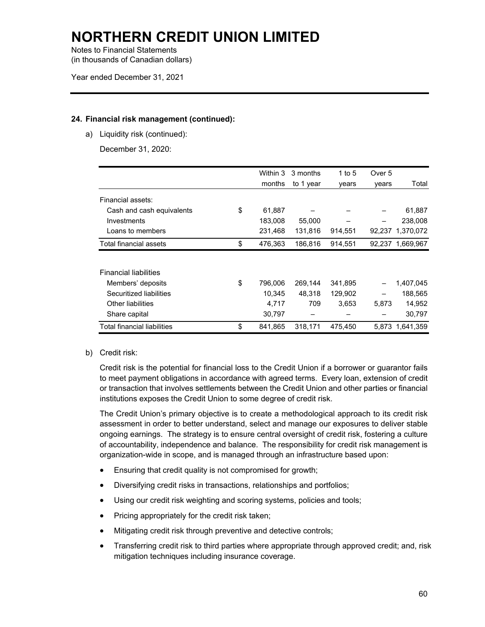Notes to Financial Statements (in thousands of Canadian dollars)

Year ended December 31, 2021

#### **24. Financial risk management (continued):**

a) Liquidity risk (continued):

December 31, 2020:

|                                    | Within 3      | 3 months  | 1 to 5  | Over 5 |                  |
|------------------------------------|---------------|-----------|---------|--------|------------------|
|                                    | months        | to 1 year | years   | years  | Total            |
| Financial assets:                  |               |           |         |        |                  |
| Cash and cash equivalents          | \$<br>61,887  |           |         |        | 61,887           |
| Investments                        | 183,008       | 55,000    |         |        | 238,008          |
| Loans to members                   | 231,468       | 131,816   | 914,551 |        | 92,237 1,370,072 |
| Total financial assets             | \$<br>476.363 | 186,816   | 914,551 |        | 92,237 1,669,967 |
|                                    |               |           |         |        |                  |
| <b>Financial liabilities</b>       |               |           |         |        |                  |
| Members' deposits                  | \$<br>796.006 | 269,144   | 341.895 |        | 1,407,045        |
| Securitized liabilities            | 10.345        | 48.318    | 129.902 |        | 188,565          |
| Other liabilities                  | 4,717         | 709       | 3,653   | 5,873  | 14,952           |
| Share capital                      | 30,797        |           |         |        | 30,797           |
| <b>Total financial liabilities</b> | \$<br>841,865 | 318,171   | 475,450 | 5,873  | 1,641,359        |

### b) Credit risk:

Credit risk is the potential for financial loss to the Credit Union if a borrower or guarantor fails to meet payment obligations in accordance with agreed terms. Every loan, extension of credit or transaction that involves settlements between the Credit Union and other parties or financial institutions exposes the Credit Union to some degree of credit risk.

The Credit Union's primary objective is to create a methodological approach to its credit risk assessment in order to better understand, select and manage our exposures to deliver stable ongoing earnings. The strategy is to ensure central oversight of credit risk, fostering a culture of accountability, independence and balance. The responsibility for credit risk management is organization-wide in scope, and is managed through an infrastructure based upon:

- **Ensuring that credit quality is not compromised for growth;**
- Diversifying credit risks in transactions, relationships and portfolios;
- Using our credit risk weighting and scoring systems, policies and tools;
- Pricing appropriately for the credit risk taken;
- Mitigating credit risk through preventive and detective controls;
- Transferring credit risk to third parties where appropriate through approved credit; and, risk mitigation techniques including insurance coverage.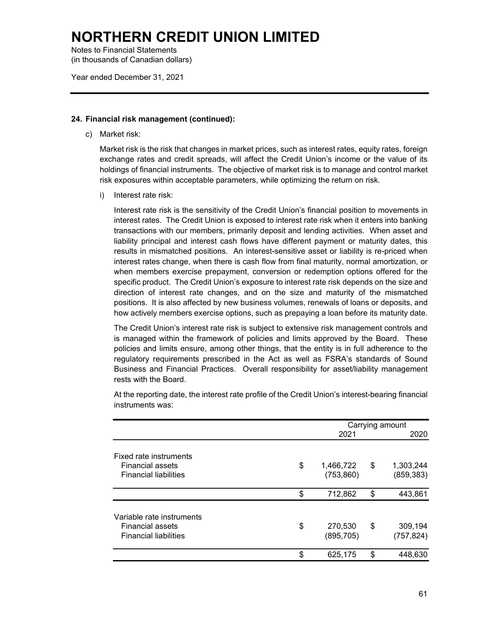Notes to Financial Statements (in thousands of Canadian dollars)

Year ended December 31, 2021

#### **24. Financial risk management (continued):**

c) Market risk:

Market risk is the risk that changes in market prices, such as interest rates, equity rates, foreign exchange rates and credit spreads, will affect the Credit Union's income or the value of its holdings of financial instruments. The objective of market risk is to manage and control market risk exposures within acceptable parameters, while optimizing the return on risk.

i) Interest rate risk:

Interest rate risk is the sensitivity of the Credit Union's financial position to movements in interest rates. The Credit Union is exposed to interest rate risk when it enters into banking transactions with our members, primarily deposit and lending activities. When asset and liability principal and interest cash flows have different payment or maturity dates, this results in mismatched positions. An interest-sensitive asset or liability is re-priced when interest rates change, when there is cash flow from final maturity, normal amortization, or when members exercise prepayment, conversion or redemption options offered for the specific product. The Credit Union's exposure to interest rate risk depends on the size and direction of interest rate changes, and on the size and maturity of the mismatched positions. It is also affected by new business volumes, renewals of loans or deposits, and how actively members exercise options, such as prepaying a loan before its maturity date.

The Credit Union's interest rate risk is subject to extensive risk management controls and is managed within the framework of policies and limits approved by the Board. These policies and limits ensure, among other things, that the entity is in full adherence to the regulatory requirements prescribed in the Act as well as FSRA's standards of Sound Business and Financial Practices. Overall responsibility for asset/liability management rests with the Board.

|                                                                                      |                               | Carrying amount |                         |  |
|--------------------------------------------------------------------------------------|-------------------------------|-----------------|-------------------------|--|
|                                                                                      | 2021                          |                 | 2020                    |  |
| Fixed rate instruments<br><b>Financial assets</b><br><b>Financial liabilities</b>    | \$<br>1,466,722<br>(753, 860) | \$              | 1,303,244<br>(859, 383) |  |
|                                                                                      | \$<br>712,862                 | \$              | 443,861                 |  |
| Variable rate instruments<br><b>Financial assets</b><br><b>Financial liabilities</b> | \$<br>270,530<br>(895, 705)   | \$              | 309,194<br>(757, 824)   |  |
|                                                                                      | \$<br>625,175                 | \$              | 448,630                 |  |

At the reporting date, the interest rate profile of the Credit Union's interest-bearing financial instruments was: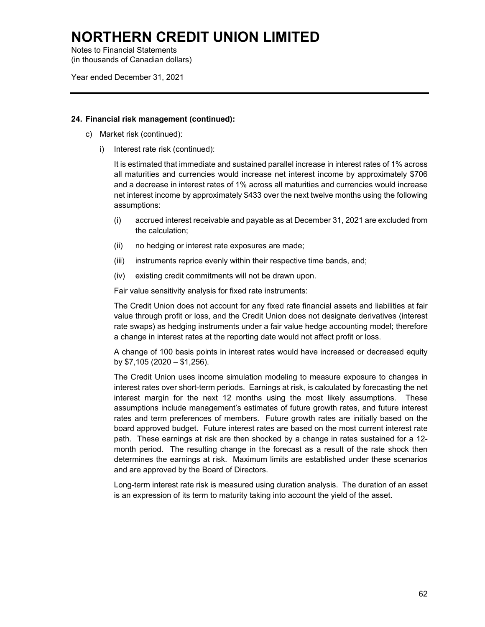Notes to Financial Statements (in thousands of Canadian dollars)

Year ended December 31, 2021

#### **24. Financial risk management (continued):**

- c) Market risk (continued):
	- i) Interest rate risk (continued):

It is estimated that immediate and sustained parallel increase in interest rates of 1% across all maturities and currencies would increase net interest income by approximately \$706 and a decrease in interest rates of 1% across all maturities and currencies would increase net interest income by approximately \$433 over the next twelve months using the following assumptions:

- (i) accrued interest receivable and payable as at December 31, 2021 are excluded from the calculation;
- (ii) no hedging or interest rate exposures are made;
- (iii) instruments reprice evenly within their respective time bands, and;
- (iv) existing credit commitments will not be drawn upon.

Fair value sensitivity analysis for fixed rate instruments:

The Credit Union does not account for any fixed rate financial assets and liabilities at fair value through profit or loss, and the Credit Union does not designate derivatives (interest rate swaps) as hedging instruments under a fair value hedge accounting model; therefore a change in interest rates at the reporting date would not affect profit or loss.

A change of 100 basis points in interest rates would have increased or decreased equity by \$7,105 (2020 – \$1,256).

The Credit Union uses income simulation modeling to measure exposure to changes in interest rates over short-term periods. Earnings at risk, is calculated by forecasting the net interest margin for the next 12 months using the most likely assumptions. These assumptions include management's estimates of future growth rates, and future interest rates and term preferences of members. Future growth rates are initially based on the board approved budget. Future interest rates are based on the most current interest rate path. These earnings at risk are then shocked by a change in rates sustained for a 12 month period. The resulting change in the forecast as a result of the rate shock then determines the earnings at risk. Maximum limits are established under these scenarios and are approved by the Board of Directors.

Long-term interest rate risk is measured using duration analysis. The duration of an asset is an expression of its term to maturity taking into account the yield of the asset.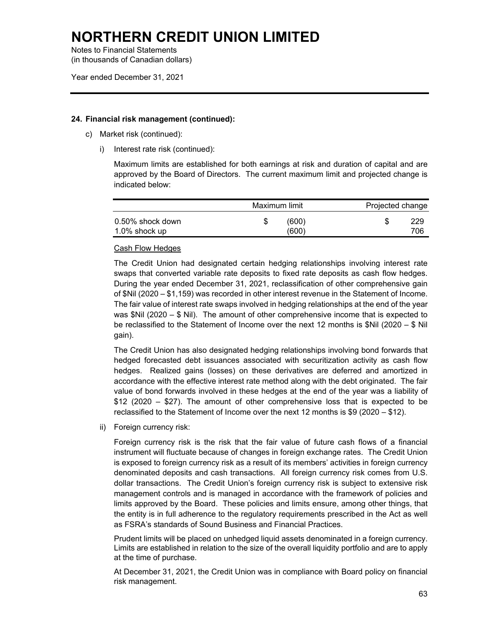Notes to Financial Statements (in thousands of Canadian dollars)

Year ended December 31, 2021

#### **24. Financial risk management (continued):**

- c) Market risk (continued):
	- i) Interest rate risk (continued):

Maximum limits are established for both earnings at risk and duration of capital and are approved by the Board of Directors. The current maximum limit and projected change is indicated below:

|                                      | Maximum limit       | Projected change |  |  |  |
|--------------------------------------|---------------------|------------------|--|--|--|
| $0.50\%$ shock down<br>1.0% shock up | (600)<br>S<br>(600) | 229<br>706       |  |  |  |

### Cash Flow Hedges

The Credit Union had designated certain hedging relationships involving interest rate swaps that converted variable rate deposits to fixed rate deposits as cash flow hedges. During the year ended December 31, 2021, reclassification of other comprehensive gain of \$Nil (2020 – \$1,159) was recorded in other interest revenue in the Statement of Income. The fair value of interest rate swaps involved in hedging relationships at the end of the year was \$Nil (2020 – \$ Nil). The amount of other comprehensive income that is expected to be reclassified to the Statement of Income over the next 12 months is \$Nil (2020 – \$ Nil gain).

The Credit Union has also designated hedging relationships involving bond forwards that hedged forecasted debt issuances associated with securitization activity as cash flow hedges. Realized gains (losses) on these derivatives are deferred and amortized in accordance with the effective interest rate method along with the debt originated. The fair value of bond forwards involved in these hedges at the end of the year was a liability of \$12 (2020 – \$27). The amount of other comprehensive loss that is expected to be reclassified to the Statement of Income over the next 12 months is \$9 (2020 – \$12).

ii) Foreign currency risk:

 Foreign currency risk is the risk that the fair value of future cash flows of a financial instrument will fluctuate because of changes in foreign exchange rates. The Credit Union is exposed to foreign currency risk as a result of its members' activities in foreign currency denominated deposits and cash transactions. All foreign currency risk comes from U.S. dollar transactions. The Credit Union's foreign currency risk is subject to extensive risk management controls and is managed in accordance with the framework of policies and limits approved by the Board. These policies and limits ensure, among other things, that the entity is in full adherence to the regulatory requirements prescribed in the Act as well as FSRA's standards of Sound Business and Financial Practices.

Prudent limits will be placed on unhedged liquid assets denominated in a foreign currency. Limits are established in relation to the size of the overall liquidity portfolio and are to apply at the time of purchase.

At December 31, 2021, the Credit Union was in compliance with Board policy on financial risk management.